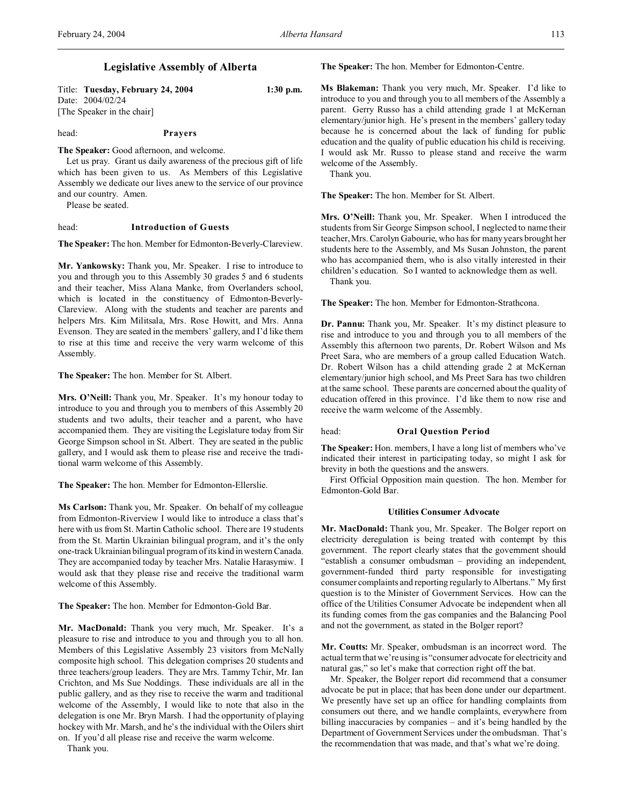Title: **Tuesday, February 24, 2004 1:30 p.m.** Date: 2004/02/24 [The Speaker in the chair]

## head: **Prayers**

**The Speaker:** Good afternoon, and welcome.

Let us pray. Grant us daily awareness of the precious gift of life which has been given to us. As Members of this Legislative Assembly we dedicate our lives anew to the service of our province and our country. Amen.

Please be seated.

## head: **Introduction of Guests**

**The Speaker:** The hon. Member for Edmonton-Beverly-Clareview.

**Mr. Yankowsky:** Thank you, Mr. Speaker. I rise to introduce to you and through you to this Assembly 30 grades 5 and 6 students and their teacher, Miss Alana Manke, from Overlanders school, which is located in the constituency of Edmonton-Beverly-Clareview. Along with the students and teacher are parents and helpers Mrs. Kim Militsala, Mrs. Rose Howitt, and Mrs. Anna Evenson. They are seated in the members' gallery, and I'd like them to rise at this time and receive the very warm welcome of this Assembly.

**The Speaker:** The hon. Member for St. Albert.

**Mrs. O'Neill:** Thank you, Mr. Speaker. It's my honour today to introduce to you and through you to members of this Assembly 20 students and two adults, their teacher and a parent, who have accompanied them. They are visiting the Legislature today from Sir George Simpson school in St. Albert. They are seated in the public gallery, and I would ask them to please rise and receive the traditional warm welcome of this Assembly.

**The Speaker:** The hon. Member for Edmonton-Ellerslie.

**Ms Carlson:** Thank you, Mr. Speaker. On behalf of my colleague from Edmonton-Riverview I would like to introduce a class that's here with us from St. Martin Catholic school. There are 19 students from the St. Martin Ukrainian bilingual program, and it's the only one-track Ukrainian bilingual program of its kind in western Canada. They are accompanied today by teacher Mrs. Natalie Harasymiw. I would ask that they please rise and receive the traditional warm welcome of this Assembly.

**The Speaker:** The hon. Member for Edmonton-Gold Bar.

**Mr. MacDonald:** Thank you very much, Mr. Speaker. It's a pleasure to rise and introduce to you and through you to all hon. Members of this Legislative Assembly 23 visitors from McNally composite high school. This delegation comprises 20 students and three teachers/group leaders. They are Mrs. Tammy Tchir, Mr. Ian Crichton, and Ms Sue Noddings. These individuals are all in the public gallery, and as they rise to receive the warm and traditional welcome of the Assembly, I would like to note that also in the delegation is one Mr. Bryn Marsh. I had the opportunity of playing hockey with Mr. Marsh, and he's the individual with the Oilers shirt on. If you'd all please rise and receive the warm welcome.

Thank you.

**The Speaker:** The hon. Member for Edmonton-Centre.

**Ms Blakeman:** Thank you very much, Mr. Speaker. I'd like to introduce to you and through you to all members of the Assembly a parent. Gerry Russo has a child attending grade 1 at McKernan elementary/junior high. He's present in the members' gallery today because he is concerned about the lack of funding for public education and the quality of public education his child is receiving. I would ask Mr. Russo to please stand and receive the warm welcome of the Assembly.

Thank you.

**The Speaker:** The hon. Member for St. Albert.

**Mrs. O'Neill:** Thank you, Mr. Speaker. When I introduced the students from Sir George Simpson school, I neglected to name their teacher, Mrs. Carolyn Gabourie, who has for many years brought her students here to the Assembly, and Ms Susan Johnston, the parent who has accompanied them, who is also vitally interested in their children's education. So I wanted to acknowledge them as well. Thank you.

**The Speaker:** The hon. Member for Edmonton-Strathcona.

**Dr. Pannu:** Thank you, Mr. Speaker. It's my distinct pleasure to rise and introduce to you and through you to all members of the Assembly this afternoon two parents, Dr. Robert Wilson and Ms Preet Sara, who are members of a group called Education Watch. Dr. Robert Wilson has a child attending grade 2 at McKernan elementary/junior high school, and Ms Preet Sara has two children at the same school. These parents are concerned about the quality of education offered in this province. I'd like them to now rise and receive the warm welcome of the Assembly.

### head: **Oral Question Period**

**The Speaker:** Hon. members, I have a long list of members who've indicated their interest in participating today, so might I ask for brevity in both the questions and the answers.

First Official Opposition main question. The hon. Member for Edmonton-Gold Bar.

#### **Utilities Consumer Advocate**

**Mr. MacDonald:** Thank you, Mr. Speaker. The Bolger report on electricity deregulation is being treated with contempt by this government. The report clearly states that the government should "establish a consumer ombudsman – providing an independent, government-funded third party responsible for investigating consumer complaints and reporting regularly to Albertans." My first question is to the Minister of Government Services. How can the office of the Utilities Consumer Advocate be independent when all its funding comes from the gas companies and the Balancing Pool and not the government, as stated in the Bolger report?

**Mr. Coutts:** Mr. Speaker, ombudsman is an incorrect word. The actual term that we're using is "consumer advocate for electricity and natural gas," so let's make that correction right off the bat.

Mr. Speaker, the Bolger report did recommend that a consumer advocate be put in place; that has been done under our department. We presently have set up an office for handling complaints from consumers out there, and we handle complaints, everywhere from billing inaccuracies by companies – and it's being handled by the Department of Government Services under the ombudsman. That's the recommendation that was made, and that's what we're doing.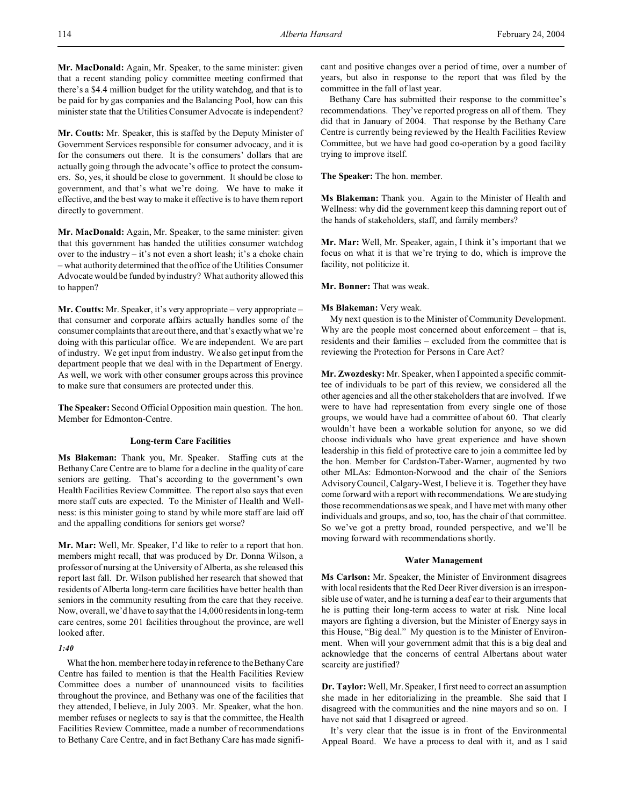**Mr. MacDonald:** Again, Mr. Speaker, to the same minister: given that a recent standing policy committee meeting confirmed that there's a \$4.4 million budget for the utility watchdog, and that is to be paid for by gas companies and the Balancing Pool, how can this minister state that the Utilities Consumer Advocate is independent?

**Mr. Coutts:** Mr. Speaker, this is staffed by the Deputy Minister of Government Services responsible for consumer advocacy, and it is for the consumers out there. It is the consumers' dollars that are actually going through the advocate's office to protect the consumers. So, yes, it should be close to government. It should be close to government, and that's what we're doing. We have to make it effective, and the best way to make it effective is to have them report directly to government.

**Mr. MacDonald:** Again, Mr. Speaker, to the same minister: given that this government has handed the utilities consumer watchdog over to the industry – it's not even a short leash; it's a choke chain – what authority determined that the office of the Utilities Consumer Advocate would be funded by industry? What authority allowed this to happen?

**Mr. Coutts:** Mr. Speaker, it's very appropriate – very appropriate – that consumer and corporate affairs actually handles some of the consumer complaints that are out there, and that's exactly what we're doing with this particular office. We are independent. We are part of industry. We get input from industry. We also get input from the department people that we deal with in the Department of Energy. As well, we work with other consumer groups across this province to make sure that consumers are protected under this.

**The Speaker:** Second Official Opposition main question. The hon. Member for Edmonton-Centre.

## **Long-term Care Facilities**

**Ms Blakeman:** Thank you, Mr. Speaker. Staffing cuts at the Bethany Care Centre are to blame for a decline in the quality of care seniors are getting. That's according to the government's own Health Facilities Review Committee. The report also says that even more staff cuts are expected. To the Minister of Health and Wellness: is this minister going to stand by while more staff are laid off and the appalling conditions for seniors get worse?

**Mr. Mar:** Well, Mr. Speaker, I'd like to refer to a report that hon. members might recall, that was produced by Dr. Donna Wilson, a professor of nursing at the University of Alberta, as she released this report last fall. Dr. Wilson published her research that showed that residents of Alberta long-term care facilities have better health than seniors in the community resulting from the care that they receive. Now, overall, we'd have to say that the 14,000 residents in long-term care centres, some 201 facilities throughout the province, are well looked after.

# *1:40*

What the hon. member here today in reference to the Bethany Care Centre has failed to mention is that the Health Facilities Review Committee does a number of unannounced visits to facilities throughout the province, and Bethany was one of the facilities that they attended, I believe, in July 2003. Mr. Speaker, what the hon. member refuses or neglects to say is that the committee, the Health Facilities Review Committee, made a number of recommendations to Bethany Care Centre, and in fact Bethany Care has made significant and positive changes over a period of time, over a number of years, but also in response to the report that was filed by the committee in the fall of last year.

Bethany Care has submitted their response to the committee's recommendations. They've reported progress on all of them. They did that in January of 2004. That response by the Bethany Care Centre is currently being reviewed by the Health Facilities Review Committee, but we have had good co-operation by a good facility trying to improve itself.

**The Speaker:** The hon. member.

**Ms Blakeman:** Thank you. Again to the Minister of Health and Wellness: why did the government keep this damning report out of the hands of stakeholders, staff, and family members?

**Mr. Mar:** Well, Mr. Speaker, again, I think it's important that we focus on what it is that we're trying to do, which is improve the facility, not politicize it.

**Mr. Bonner:** That was weak.

## **Ms Blakeman:** Very weak.

My next question is to the Minister of Community Development. Why are the people most concerned about enforcement – that is, residents and their families – excluded from the committee that is reviewing the Protection for Persons in Care Act?

**Mr. Zwozdesky:** Mr. Speaker, when I appointed a specific committee of individuals to be part of this review, we considered all the other agencies and all the other stakeholders that are involved. If we were to have had representation from every single one of those groups, we would have had a committee of about 60. That clearly wouldn't have been a workable solution for anyone, so we did choose individuals who have great experience and have shown leadership in this field of protective care to join a committee led by the hon. Member for Cardston-Taber-Warner, augmented by two other MLAs: Edmonton-Norwood and the chair of the Seniors Advisory Council, Calgary-West, I believe it is. Together they have come forward with a report with recommendations. We are studying those recommendations as we speak, and I have met with many other individuals and groups, and so, too, has the chair of that committee. So we've got a pretty broad, rounded perspective, and we'll be moving forward with recommendations shortly.

## **Water Management**

**Ms Carlson:** Mr. Speaker, the Minister of Environment disagrees with local residents that the Red Deer River diversion is an irresponsible use of water, and he is turning a deaf ear to their arguments that he is putting their long-term access to water at risk. Nine local mayors are fighting a diversion, but the Minister of Energy says in this House, "Big deal." My question is to the Minister of Environment. When will your government admit that this is a big deal and acknowledge that the concerns of central Albertans about water scarcity are justified?

**Dr. Taylor:**Well, Mr. Speaker, I first need to correct an assumption she made in her editorializing in the preamble. She said that I disagreed with the communities and the nine mayors and so on. I have not said that I disagreed or agreed.

It's very clear that the issue is in front of the Environmental Appeal Board. We have a process to deal with it, and as I said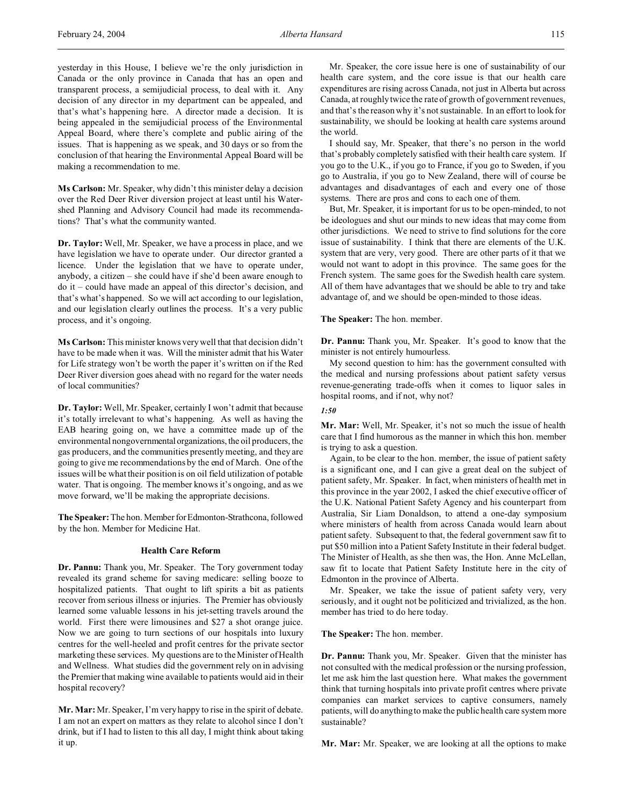yesterday in this House, I believe we're the only jurisdiction in Canada or the only province in Canada that has an open and transparent process, a semijudicial process, to deal with it. Any decision of any director in my department can be appealed, and that's what's happening here. A director made a decision. It is being appealed in the semijudicial process of the Environmental Appeal Board, where there's complete and public airing of the issues. That is happening as we speak, and 30 days or so from the conclusion of that hearing the Environmental Appeal Board will be making a recommendation to me.

**Ms Carlson:** Mr. Speaker, why didn't this minister delay a decision over the Red Deer River diversion project at least until his Watershed Planning and Advisory Council had made its recommendations? That's what the community wanted.

**Dr. Taylor:** Well, Mr. Speaker, we have a process in place, and we have legislation we have to operate under. Our director granted a licence. Under the legislation that we have to operate under, anybody, a citizen – she could have if she'd been aware enough to do it – could have made an appeal of this director's decision, and that's what's happened. So we will act according to our legislation, and our legislation clearly outlines the process. It's a very public process, and it's ongoing.

**Ms Carlson:** This minister knows very well that that decision didn't have to be made when it was. Will the minister admit that his Water for Life strategy won't be worth the paper it's written on if the Red Deer River diversion goes ahead with no regard for the water needs of local communities?

**Dr. Taylor:** Well, Mr. Speaker, certainly I won't admit that because it's totally irrelevant to what's happening. As well as having the EAB hearing going on, we have a committee made up of the environmental nongovernmental organizations, the oil producers, the gas producers, and the communities presently meeting, and they are going to give me recommendations by the end of March. One of the issues will be what their position is on oil field utilization of potable water. That is ongoing. The member knows it's ongoing, and as we move forward, we'll be making the appropriate decisions.

**The Speaker:** The hon. Member forEdmonton-Strathcona, followed by the hon. Member for Medicine Hat.

### **Health Care Reform**

**Dr. Pannu:** Thank you, Mr. Speaker. The Tory government today revealed its grand scheme for saving medicare: selling booze to hospitalized patients. That ought to lift spirits a bit as patients recover from serious illness or injuries. The Premier has obviously learned some valuable lessons in his jet-setting travels around the world. First there were limousines and \$27 a shot orange juice. Now we are going to turn sections of our hospitals into luxury centres for the well-heeled and profit centres for the private sector marketing these services. My questions are to the Minister of Health and Wellness. What studies did the government rely on in advising the Premier that making wine available to patients would aid in their hospital recovery?

**Mr. Mar:** Mr. Speaker, I'm very happy to rise in the spirit of debate. I am not an expert on matters as they relate to alcohol since I don't drink, but if I had to listen to this all day, I might think about taking it up.

Mr. Speaker, the core issue here is one of sustainability of our health care system, and the core issue is that our health care expenditures are rising across Canada, not just in Alberta but across Canada, at roughly twice the rate of growth of government revenues, and that's the reason why it's not sustainable. In an effort to look for sustainability, we should be looking at health care systems around the world.

I should say, Mr. Speaker, that there's no person in the world that's probably completely satisfied with their health care system. If you go to the U.K., if you go to France, if you go to Sweden, if you go to Australia, if you go to New Zealand, there will of course be advantages and disadvantages of each and every one of those systems. There are pros and cons to each one of them.

But, Mr. Speaker, it is important for us to be open-minded, to not be ideologues and shut our minds to new ideas that may come from other jurisdictions. We need to strive to find solutions for the core issue of sustainability. I think that there are elements of the U.K. system that are very, very good. There are other parts of it that we would not want to adopt in this province. The same goes for the French system. The same goes for the Swedish health care system. All of them have advantages that we should be able to try and take advantage of, and we should be open-minded to those ideas.

## **The Speaker:** The hon. member.

**Dr. Pannu:** Thank you, Mr. Speaker. It's good to know that the minister is not entirely humourless.

My second question to him: has the government consulted with the medical and nursing professions about patient safety versus revenue-generating trade-offs when it comes to liquor sales in hospital rooms, and if not, why not?

#### *1:50*

**Mr. Mar:** Well, Mr. Speaker, it's not so much the issue of health care that I find humorous as the manner in which this hon. member is trying to ask a question.

Again, to be clear to the hon. member, the issue of patient safety is a significant one, and I can give a great deal on the subject of patient safety, Mr. Speaker. In fact, when ministers of health met in this province in the year 2002, I asked the chief executive officer of the U.K. National Patient Safety Agency and his counterpart from Australia, Sir Liam Donaldson, to attend a one-day symposium where ministers of health from across Canada would learn about patient safety. Subsequent to that, the federal government saw fit to put \$50 million into a Patient Safety Institute in their federal budget. The Minister of Health, as she then was, the Hon. Anne McLellan, saw fit to locate that Patient Safety Institute here in the city of Edmonton in the province of Alberta.

Mr. Speaker, we take the issue of patient safety very, very seriously, and it ought not be politicized and trivialized, as the hon. member has tried to do here today.

#### **The Speaker:** The hon. member.

**Dr. Pannu:** Thank you, Mr. Speaker. Given that the minister has not consulted with the medical profession or the nursing profession, let me ask him the last question here. What makes the government think that turning hospitals into private profit centres where private companies can market services to captive consumers, namely patients, will do anything to make the public health care system more sustainable?

**Mr. Mar:** Mr. Speaker, we are looking at all the options to make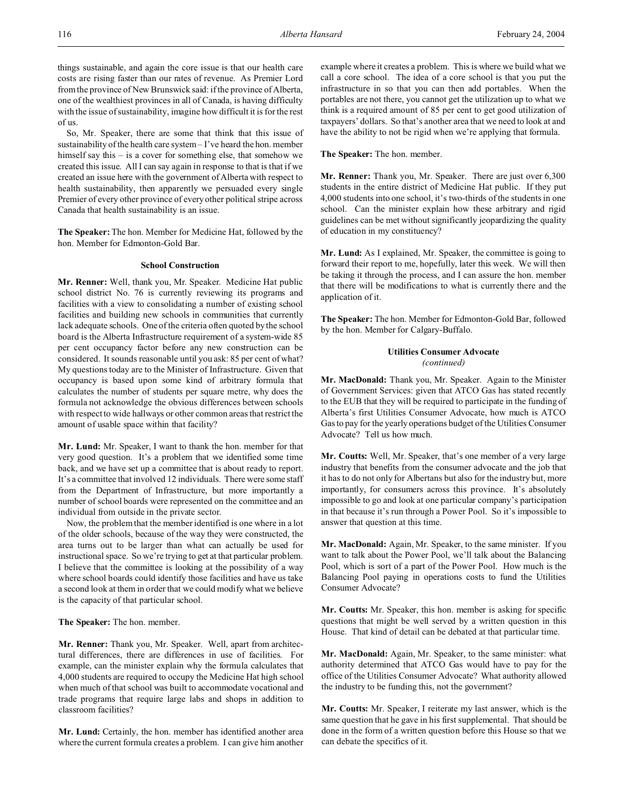things sustainable, and again the core issue is that our health care costs are rising faster than our rates of revenue. As Premier Lord from the province of New Brunswick said: if the province of Alberta, one of the wealthiest provinces in all of Canada, is having difficulty with the issue of sustainability, imagine how difficult it is for the rest of us.

So, Mr. Speaker, there are some that think that this issue of sustainability of the health care system – I've heard the hon. member himself say this – is a cover for something else, that somehow we created this issue. All I can say again in response to that is that if we created an issue here with the government of Alberta with respect to health sustainability, then apparently we persuaded every single Premier of every other province of every other political stripe across Canada that health sustainability is an issue.

**The Speaker:** The hon. Member for Medicine Hat, followed by the hon. Member for Edmonton-Gold Bar.

## **School Construction**

**Mr. Renner:** Well, thank you, Mr. Speaker. Medicine Hat public school district No. 76 is currently reviewing its programs and facilities with a view to consolidating a number of existing school facilities and building new schools in communities that currently lack adequate schools. One of the criteria often quoted by the school board is the Alberta Infrastructure requirement of a system-wide 85 per cent occupancy factor before any new construction can be considered. It sounds reasonable until you ask: 85 per cent of what? My questions today are to the Minister of Infrastructure. Given that occupancy is based upon some kind of arbitrary formula that calculates the number of students per square metre, why does the formula not acknowledge the obvious differences between schools with respect to wide hallways or other common areas that restrict the amount of usable space within that facility?

**Mr. Lund:** Mr. Speaker, I want to thank the hon. member for that very good question. It's a problem that we identified some time back, and we have set up a committee that is about ready to report. It's a committee that involved 12 individuals. There were some staff from the Department of Infrastructure, but more importantly a number of school boards were represented on the committee and an individual from outside in the private sector.

Now, the problem that the member identified is one where in a lot of the older schools, because of the way they were constructed, the area turns out to be larger than what can actually be used for instructional space. So we're trying to get at that particular problem. I believe that the committee is looking at the possibility of a way where school boards could identify those facilities and have us take a second look at them in order that we could modify what we believe is the capacity of that particular school.

#### **The Speaker:** The hon. member.

**Mr. Renner:** Thank you, Mr. Speaker. Well, apart from architectural differences, there are differences in use of facilities. For example, can the minister explain why the formula calculates that 4,000 students are required to occupy the Medicine Hat high school when much of that school was built to accommodate vocational and trade programs that require large labs and shops in addition to classroom facilities?

**Mr. Lund:** Certainly, the hon. member has identified another area where the current formula creates a problem. I can give him another example where it creates a problem. This is where we build what we call a core school. The idea of a core school is that you put the infrastructure in so that you can then add portables. When the portables are not there, you cannot get the utilization up to what we think is a required amount of 85 per cent to get good utilization of taxpayers' dollars. So that's another area that we need to look at and have the ability to not be rigid when we're applying that formula.

**The Speaker:** The hon. member.

**Mr. Renner:** Thank you, Mr. Speaker. There are just over 6,300 students in the entire district of Medicine Hat public. If they put 4,000 students into one school, it's two-thirds of the students in one school. Can the minister explain how these arbitrary and rigid guidelines can be met without significantly jeopardizing the quality of education in my constituency?

**Mr. Lund:** As I explained, Mr. Speaker, the committee is going to forward their report to me, hopefully, later this week. We will then be taking it through the process, and I can assure the hon. member that there will be modifications to what is currently there and the application of it.

**The Speaker:** The hon. Member for Edmonton-Gold Bar, followed by the hon. Member for Calgary-Buffalo.

## **Utilities Consumer Advocate** *(continued)*

**Mr. MacDonald:** Thank you, Mr. Speaker. Again to the Minister of Government Services: given that ATCO Gas has stated recently to the EUB that they will be required to participate in the funding of Alberta's first Utilities Consumer Advocate, how much is ATCO Gas to pay for the yearly operations budget of the Utilities Consumer Advocate? Tell us how much.

**Mr. Coutts:** Well, Mr. Speaker, that's one member of a very large industry that benefits from the consumer advocate and the job that it has to do not only for Albertans but also for the industry but, more importantly, for consumers across this province. It's absolutely impossible to go and look at one particular company's participation in that because it's run through a Power Pool. So it's impossible to answer that question at this time.

**Mr. MacDonald:** Again, Mr. Speaker, to the same minister. If you want to talk about the Power Pool, we'll talk about the Balancing Pool, which is sort of a part of the Power Pool. How much is the Balancing Pool paying in operations costs to fund the Utilities Consumer Advocate?

**Mr. Coutts:** Mr. Speaker, this hon. member is asking for specific questions that might be well served by a written question in this House. That kind of detail can be debated at that particular time.

**Mr. MacDonald:** Again, Mr. Speaker, to the same minister: what authority determined that ATCO Gas would have to pay for the office of the Utilities Consumer Advocate? What authority allowed the industry to be funding this, not the government?

**Mr. Coutts:** Mr. Speaker, I reiterate my last answer, which is the same question that he gave in his first supplemental. That should be done in the form of a written question before this House so that we can debate the specifics of it.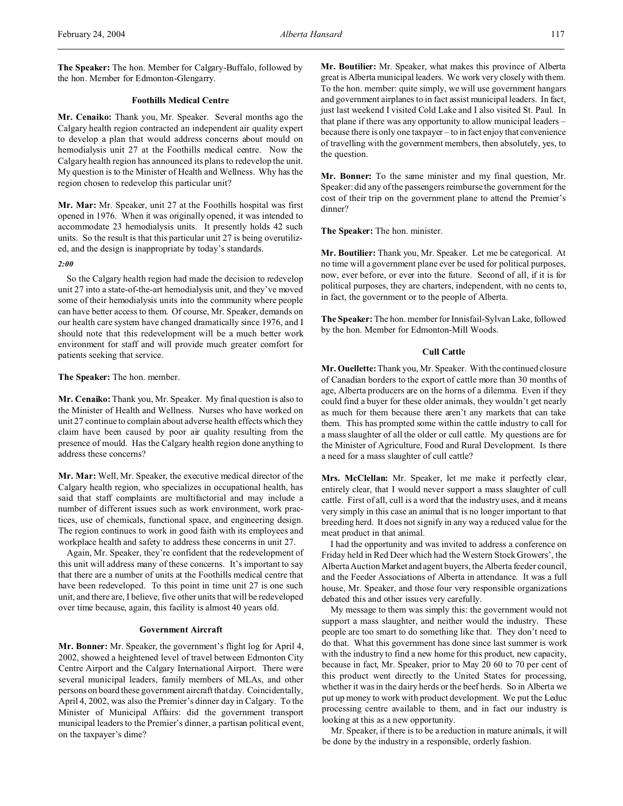**The Speaker:** The hon. Member for Calgary-Buffalo, followed by the hon. Member for Edmonton-Glengarry.

### **Foothills Medical Centre**

**Mr. Cenaiko:** Thank you, Mr. Speaker. Several months ago the Calgary health region contracted an independent air quality expert to develop a plan that would address concerns about mould on hemodialysis unit 27 at the Foothills medical centre. Now the Calgary health region has announced its plans to redevelop the unit. My question is to the Minister of Health and Wellness. Why has the region chosen to redevelop this particular unit?

**Mr. Mar:** Mr. Speaker, unit 27 at the Foothills hospital was first opened in 1976. When it was originally opened, it was intended to accommodate 23 hemodialysis units. It presently holds 42 such units. So the result is that this particular unit 27 is being overutilized, and the design is inappropriate by today's standards.

### *2:00*

So the Calgary health region had made the decision to redevelop unit 27 into a state-of-the-art hemodialysis unit, and they've moved some of their hemodialysis units into the community where people can have better access to them. Of course, Mr. Speaker, demands on our health care system have changed dramatically since 1976, and I should note that this redevelopment will be a much better work environment for staff and will provide much greater comfort for patients seeking that service.

### **The Speaker:** The hon. member.

**Mr. Cenaiko:** Thank you, Mr. Speaker. My final question is also to the Minister of Health and Wellness. Nurses who have worked on unit 27 continue to complain about adverse health effects which they claim have been caused by poor air quality resulting from the presence of mould. Has the Calgary health region done anything to address these concerns?

**Mr. Mar:** Well, Mr. Speaker, the executive medical director of the Calgary health region, who specializes in occupational health, has said that staff complaints are multifactorial and may include a number of different issues such as work environment, work practices, use of chemicals, functional space, and engineering design. The region continues to work in good faith with its employees and workplace health and safety to address these concerns in unit 27.

Again, Mr. Speaker, they're confident that the redevelopment of this unit will address many of these concerns. It's important to say that there are a number of units at the Foothills medical centre that have been redeveloped. To this point in time unit 27 is one such unit, and there are, I believe, five other units that will be redeveloped over time because, again, this facility is almost 40 years old.

### **Government Aircraft**

**Mr. Bonner:** Mr. Speaker, the government's flight log for April 4, 2002, showed a heightened level of travel between Edmonton City Centre Airport and the Calgary International Airport. There were several municipal leaders, family members of MLAs, and other persons on board these government aircraft that day. Coincidentally, April 4, 2002, was also the Premier's dinner day in Calgary. To the Minister of Municipal Affairs: did the government transport municipal leaders to the Premier's dinner, a partisan political event, on the taxpayer's dime?

**Mr. Boutilier:** Mr. Speaker, what makes this province of Alberta great is Alberta municipal leaders. We work very closely with them. To the hon. member: quite simply, we will use government hangars and government airplanes to in fact assist municipal leaders. In fact, just last weekend I visited Cold Lake and I also visited St. Paul. In that plane if there was any opportunity to allow municipal leaders – because there is only one taxpayer – to in fact enjoy that convenience of travelling with the government members, then absolutely, yes, to the question.

**Mr. Bonner:** To the same minister and my final question, Mr. Speaker: did any of the passengers reimburse the government for the cost of their trip on the government plane to attend the Premier's dinner?

**The Speaker:** The hon. minister.

**Mr. Boutilier:** Thank you, Mr. Speaker. Let me be categorical. At no time will a government plane ever be used for political purposes, now, ever before, or ever into the future. Second of all, if it is for political purposes, they are charters, independent, with no cents to, in fact, the government or to the people of Alberta.

**The Speaker:** The hon. member for Innisfail-Sylvan Lake, followed by the hon. Member for Edmonton-Mill Woods.

## **Cull Cattle**

**Mr. Ouellette:**Thank you, Mr. Speaker. With the continued closure of Canadian borders to the export of cattle more than 30 months of age, Alberta producers are on the horns of a dilemma. Even if they could find a buyer for these older animals, they wouldn't get nearly as much for them because there aren't any markets that can take them. This has prompted some within the cattle industry to call for a mass slaughter of all the older or cull cattle. My questions are for the Minister of Agriculture, Food and Rural Development. Is there a need for a mass slaughter of cull cattle?

**Mrs. McClellan:** Mr. Speaker, let me make it perfectly clear, entirely clear, that I would never support a mass slaughter of cull cattle. First of all, cull is a word that the industry uses, and it means very simply in this case an animal that is no longer important to that breeding herd. It does not signify in any way a reduced value for the meat product in that animal.

I had the opportunity and was invited to address a conference on Friday held in Red Deer which had the Western Stock Growers', the Alberta Auction Market and agent buyers, the Alberta feeder council, and the Feeder Associations of Alberta in attendance. It was a full house, Mr. Speaker, and those four very responsible organizations debated this and other issues very carefully.

My message to them was simply this: the government would not support a mass slaughter, and neither would the industry. These people are too smart to do something like that. They don't need to do that. What this government has done since last summer is work with the industry to find a new home for this product, new capacity, because in fact, Mr. Speaker, prior to May 20 60 to 70 per cent of this product went directly to the United States for processing, whether it was in the dairy herds or the beef herds. So in Alberta we put up money to work with product development. We put the Leduc processing centre available to them, and in fact our industry is looking at this as a new opportunity.

Mr. Speaker, if there is to be a reduction in mature animals, it will be done by the industry in a responsible, orderly fashion.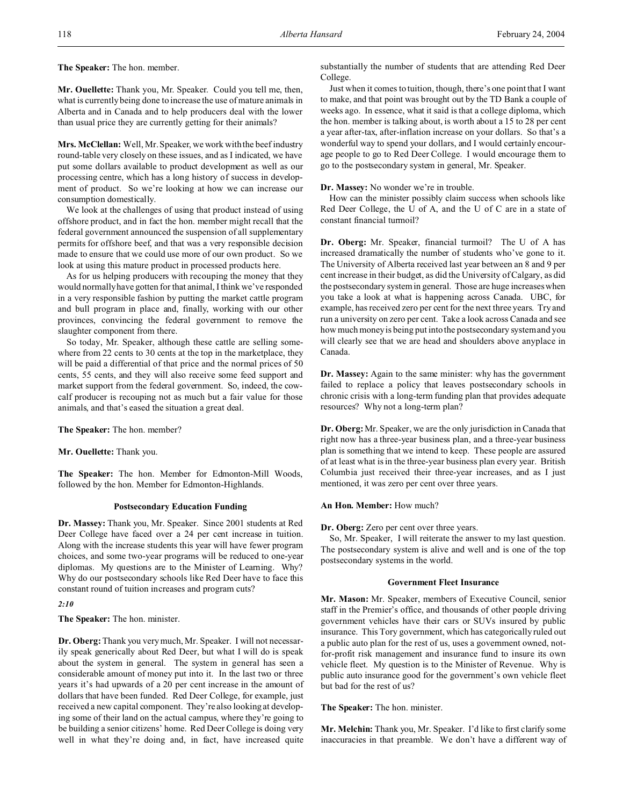**The Speaker:** The hon. member.

**Mr. Ouellette:** Thank you, Mr. Speaker. Could you tell me, then, what is currently being done to increase the use of mature animals in Alberta and in Canada and to help producers deal with the lower than usual price they are currently getting for their animals?

**Mrs. McClellan:** Well, Mr. Speaker, we work with the beef industry round-table very closely on these issues, and as I indicated, we have put some dollars available to product development as well as our processing centre, which has a long history of success in development of product. So we're looking at how we can increase our consumption domestically.

We look at the challenges of using that product instead of using offshore product, and in fact the hon. member might recall that the federal government announced the suspension of all supplementary permits for offshore beef, and that was a very responsible decision made to ensure that we could use more of our own product. So we look at using this mature product in processed products here.

As for us helping producers with recouping the money that they would normally have gotten for that animal, I think we've responded in a very responsible fashion by putting the market cattle program and bull program in place and, finally, working with our other provinces, convincing the federal government to remove the slaughter component from there.

So today, Mr. Speaker, although these cattle are selling somewhere from 22 cents to 30 cents at the top in the marketplace, they will be paid a differential of that price and the normal prices of 50 cents, 55 cents, and they will also receive some feed support and market support from the federal government. So, indeed, the cowcalf producer is recouping not as much but a fair value for those animals, and that's eased the situation a great deal.

**The Speaker:** The hon. member?

**Mr. Ouellette:** Thank you.

**The Speaker:** The hon. Member for Edmonton-Mill Woods, followed by the hon. Member for Edmonton-Highlands.

### **Postsecondary Education Funding**

**Dr. Massey:** Thank you, Mr. Speaker. Since 2001 students at Red Deer College have faced over a 24 per cent increase in tuition. Along with the increase students this year will have fewer program choices, and some two-year programs will be reduced to one-year diplomas. My questions are to the Minister of Learning. Why? Why do our postsecondary schools like Red Deer have to face this constant round of tuition increases and program cuts?

*2:10*

**The Speaker:** The hon. minister.

**Dr. Oberg:**Thank you very much, Mr. Speaker. I will not necessarily speak generically about Red Deer, but what I will do is speak about the system in general. The system in general has seen a considerable amount of money put into it. In the last two or three years it's had upwards of a 20 per cent increase in the amount of dollars that have been funded. Red Deer College, for example, just received a new capital component. They're also looking at developing some of their land on the actual campus, where they're going to be building a senior citizens' home. Red Deer College is doing very well in what they're doing and, in fact, have increased quite substantially the number of students that are attending Red Deer College.

Just when it comes to tuition, though, there's one point that I want to make, and that point was brought out by the TD Bank a couple of weeks ago. In essence, what it said is that a college diploma, which the hon. member is talking about, is worth about a 15 to 28 per cent a year after-tax, after-inflation increase on your dollars. So that's a wonderful way to spend your dollars, and I would certainly encourage people to go to Red Deer College. I would encourage them to go to the postsecondary system in general, Mr. Speaker.

**Dr. Massey:** No wonder we're in trouble.

How can the minister possibly claim success when schools like Red Deer College, the U of A, and the U of C are in a state of constant financial turmoil?

**Dr. Oberg:** Mr. Speaker, financial turmoil? The U of A has increased dramatically the number of students who've gone to it. The University of Alberta received last year between an 8 and 9 per cent increase in their budget, as did the University of Calgary, as did the postsecondary system in general. Those are huge increases when you take a look at what is happening across Canada. UBC, for example, has received zero per cent for the next three years. Try and run a university on zero per cent. Take a look across Canada and see how much money is being put into the postsecondary system and you will clearly see that we are head and shoulders above anyplace in Canada.

**Dr. Massey:** Again to the same minister: why has the government failed to replace a policy that leaves postsecondary schools in chronic crisis with a long-term funding plan that provides adequate resources? Why not a long-term plan?

**Dr. Oberg:**Mr. Speaker, we are the only jurisdiction in Canada that right now has a three-year business plan, and a three-year business plan is something that we intend to keep. These people are assured of at least what is in the three-year business plan every year. British Columbia just received their three-year increases, and as I just mentioned, it was zero per cent over three years.

### **An Hon. Member:** How much?

**Dr. Oberg:** Zero per cent over three years.

So, Mr. Speaker, I will reiterate the answer to my last question. The postsecondary system is alive and well and is one of the top postsecondary systems in the world.

## **Government Fleet Insurance**

**Mr. Mason:** Mr. Speaker, members of Executive Council, senior staff in the Premier's office, and thousands of other people driving government vehicles have their cars or SUVs insured by public insurance. This Tory government, which has categorically ruled out a public auto plan for the rest of us, uses a government owned, notfor-profit risk management and insurance fund to insure its own vehicle fleet. My question is to the Minister of Revenue. Why is public auto insurance good for the government's own vehicle fleet but bad for the rest of us?

**The Speaker:** The hon. minister.

**Mr. Melchin:** Thank you, Mr. Speaker. I'd like to first clarify some inaccuracies in that preamble. We don't have a different way of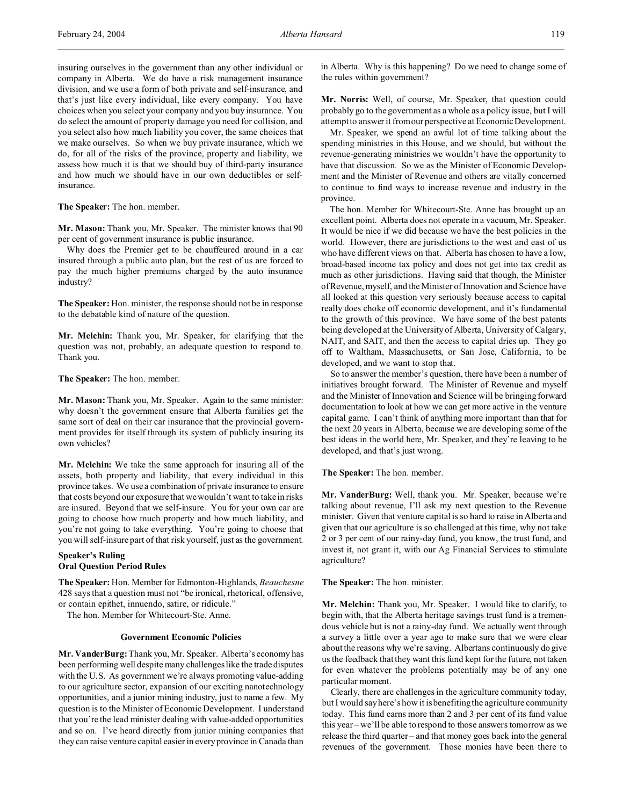insuring ourselves in the government than any other individual or company in Alberta. We do have a risk management insurance division, and we use a form of both private and self-insurance, and that's just like every individual, like every company. You have choices when you select your company and you buy insurance. You do select the amount of property damage you need for collision, and you select also how much liability you cover, the same choices that we make ourselves. So when we buy private insurance, which we do, for all of the risks of the province, property and liability, we assess how much it is that we should buy of third-party insurance and how much we should have in our own deductibles or selfinsurance.

**The Speaker:** The hon. member.

**Mr. Mason:** Thank you, Mr. Speaker. The minister knows that 90 per cent of government insurance is public insurance.

Why does the Premier get to be chauffeured around in a car insured through a public auto plan, but the rest of us are forced to pay the much higher premiums charged by the auto insurance industry?

**The Speaker:** Hon. minister, the response should not be in response to the debatable kind of nature of the question.

**Mr. Melchin:** Thank you, Mr. Speaker, for clarifying that the question was not, probably, an adequate question to respond to. Thank you.

**The Speaker:** The hon. member.

**Mr. Mason:** Thank you, Mr. Speaker. Again to the same minister: why doesn't the government ensure that Alberta families get the same sort of deal on their car insurance that the provincial government provides for itself through its system of publicly insuring its own vehicles?

**Mr. Melchin:** We take the same approach for insuring all of the assets, both property and liability, that every individual in this province takes. We use a combination of private insurance to ensure that costs beyond our exposure that we wouldn't want to take in risks are insured. Beyond that we self-insure. You for your own car are going to choose how much property and how much liability, and you're not going to take everything. You're going to choose that you will self-insure part of that risk yourself, just as the government.

## **Speaker's Ruling Oral Question Period Rules**

**The Speaker:** Hon. Member for Edmonton-Highlands, *Beauchesne* 428 says that a question must not "be ironical, rhetorical, offensive, or contain epithet, innuendo, satire, or ridicule."

The hon. Member for Whitecourt-Ste. Anne.

## **Government Economic Policies**

**Mr. VanderBurg:**Thank you, Mr. Speaker. Alberta's economy has been performing well despite many challenges like the trade disputes with the U.S. As government we're always promoting value-adding to our agriculture sector, expansion of our exciting nanotechnology opportunities, and a junior mining industry, just to name a few. My question is to the Minister of Economic Development. I understand that you're the lead minister dealing with value-added opportunities and so on. I've heard directly from junior mining companies that they can raise venture capital easier in every province in Canada than

in Alberta. Why is this happening? Do we need to change some of the rules within government?

**Mr. Norris:** Well, of course, Mr. Speaker, that question could probably go to the government as a whole as a policy issue, but I will attempt to answer it from our perspective at Economic Development.

Mr. Speaker, we spend an awful lot of time talking about the spending ministries in this House, and we should, but without the revenue-generating ministries we wouldn't have the opportunity to have that discussion. So we as the Minister of Economic Development and the Minister of Revenue and others are vitally concerned to continue to find ways to increase revenue and industry in the province.

The hon. Member for Whitecourt-Ste. Anne has brought up an excellent point. Alberta does not operate in a vacuum, Mr. Speaker. It would be nice if we did because we have the best policies in the world. However, there are jurisdictions to the west and east of us who have different views on that. Alberta has chosen to have a low, broad-based income tax policy and does not get into tax credit as much as other jurisdictions. Having said that though, the Minister of Revenue, myself, and the Minister of Innovation and Science have all looked at this question very seriously because access to capital really does choke off economic development, and it's fundamental to the growth of this province. We have some of the best patents being developed at the University of Alberta, University of Calgary, NAIT, and SAIT, and then the access to capital dries up. They go off to Waltham, Massachusetts, or San Jose, California, to be developed, and we want to stop that.

So to answer the member's question, there have been a number of initiatives brought forward. The Minister of Revenue and myself and the Minister of Innovation and Science will be bringing forward documentation to look at how we can get more active in the venture capital game. I can't think of anything more important than that for the next 20 years in Alberta, because we are developing some of the best ideas in the world here, Mr. Speaker, and they're leaving to be developed, and that's just wrong.

**The Speaker:** The hon. member.

**Mr. VanderBurg:** Well, thank you. Mr. Speaker, because we're talking about revenue, I'll ask my next question to the Revenue minister. Given that venture capital is so hard to raise in Alberta and given that our agriculture is so challenged at this time, why not take 2 or 3 per cent of our rainy-day fund, you know, the trust fund, and invest it, not grant it, with our Ag Financial Services to stimulate agriculture?

**The Speaker:** The hon. minister.

**Mr. Melchin:** Thank you, Mr. Speaker. I would like to clarify, to begin with, that the Alberta heritage savings trust fund is a tremendous vehicle but is not a rainy-day fund. We actually went through a survey a little over a year ago to make sure that we were clear about the reasons why we're saving. Albertans continuously do give us the feedback that they want this fund kept for the future, not taken for even whatever the problems potentially may be of any one particular moment.

Clearly, there are challenges in the agriculture community today, but I would say here's how it is benefiting the agriculture community today. This fund earns more than 2 and 3 per cent of its fund value this year – we'll be able to respond to those answers tomorrow as we release the third quarter – and that money goes back into the general revenues of the government. Those monies have been there to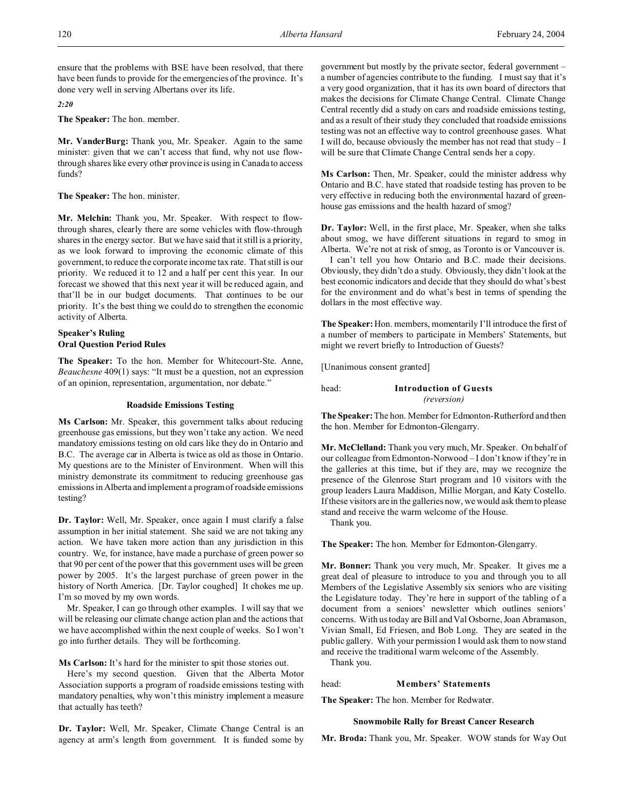ensure that the problems with BSE have been resolved, that there have been funds to provide for the emergencies of the province. It's done very well in serving Albertans over its life.

*2:20*

**The Speaker:** The hon. member.

**Mr. VanderBurg:** Thank you, Mr. Speaker. Again to the same minister: given that we can't access that fund, why not use flowthrough shares like every other province is using in Canada to access funds?

**The Speaker:** The hon. minister.

**Mr. Melchin:** Thank you, Mr. Speaker. With respect to flowthrough shares, clearly there are some vehicles with flow-through shares in the energy sector. But we have said that it still is a priority, as we look forward to improving the economic climate of this government, to reduce the corporate income tax rate. That still is our priority. We reduced it to 12 and a half per cent this year. In our forecast we showed that this next year it will be reduced again, and that'll be in our budget documents. That continues to be our priority. It's the best thing we could do to strengthen the economic activity of Alberta.

# **Speaker's Ruling Oral Question Period Rules**

**The Speaker:** To the hon. Member for Whitecourt-Ste. Anne, *Beauchesne* 409(1) says: "It must be a question, not an expression of an opinion, representation, argumentation, nor debate."

## **Roadside Emissions Testing**

**Ms Carlson:** Mr. Speaker, this government talks about reducing greenhouse gas emissions, but they won't take any action. We need mandatory emissions testing on old cars like they do in Ontario and B.C. The average car in Alberta is twice as old as those in Ontario. My questions are to the Minister of Environment. When will this ministry demonstrate its commitment to reducing greenhouse gas emissions in Alberta and implement a program of roadside emissions testing?

**Dr. Taylor:** Well, Mr. Speaker, once again I must clarify a false assumption in her initial statement. She said we are not taking any action. We have taken more action than any jurisdiction in this country. We, for instance, have made a purchase of green power so that 90 per cent of the power that this government uses will be green power by 2005. It's the largest purchase of green power in the history of North America. [Dr. Taylor coughed] It chokes me up. I'm so moved by my own words.

Mr. Speaker, I can go through other examples. I will say that we will be releasing our climate change action plan and the actions that we have accomplished within the next couple of weeks. So I won't go into further details. They will be forthcoming.

**Ms Carlson:** It's hard for the minister to spit those stories out.

Here's my second question. Given that the Alberta Motor Association supports a program of roadside emissions testing with mandatory penalties, why won't this ministry implement a measure that actually has teeth?

**Dr. Taylor:** Well, Mr. Speaker, Climate Change Central is an agency at arm's length from government. It is funded some by government but mostly by the private sector, federal government – a number of agencies contribute to the funding. I must say that it's a very good organization, that it has its own board of directors that makes the decisions for Climate Change Central. Climate Change Central recently did a study on cars and roadside emissions testing, and as a result of their study they concluded that roadside emissions testing was not an effective way to control greenhouse gases. What I will do, because obviously the member has not read that study – I will be sure that Climate Change Central sends her a copy.

**Ms Carlson:** Then, Mr. Speaker, could the minister address why Ontario and B.C. have stated that roadside testing has proven to be very effective in reducing both the environmental hazard of greenhouse gas emissions and the health hazard of smog?

**Dr. Taylor:** Well, in the first place, Mr. Speaker, when she talks about smog, we have different situations in regard to smog in Alberta. We're not at risk of smog, as Toronto is or Vancouver is.

I can't tell you how Ontario and B.C. made their decisions. Obviously, they didn't do a study. Obviously, they didn't look at the best economic indicators and decide that they should do what's best for the environment and do what's best in terms of spending the dollars in the most effective way.

**The Speaker:**Hon. members, momentarily I'll introduce the first of a number of members to participate in Members' Statements, but might we revert briefly to Introduction of Guests?

[Unanimous consent granted]

| head: | <b>Introduction of Guests</b> |  |
|-------|-------------------------------|--|
|       | <i>(reversion)</i>            |  |

**The Speaker:**The hon. Member for Edmonton-Rutherford and then the hon. Member for Edmonton-Glengarry.

**Mr. McClelland:** Thank you very much, Mr. Speaker. On behalf of our colleague from Edmonton-Norwood – I don't know if they're in the galleries at this time, but if they are, may we recognize the presence of the Glenrose Start program and 10 visitors with the group leaders Laura Maddison, Millie Morgan, and Katy Costello. If these visitors are in the galleries now, we would ask them to please stand and receive the warm welcome of the House.

Thank you.

**The Speaker:** The hon. Member for Edmonton-Glengarry.

**Mr. Bonner:** Thank you very much, Mr. Speaker. It gives me a great deal of pleasure to introduce to you and through you to all Members of the Legislative Assembly six seniors who are visiting the Legislature today. They're here in support of the tabling of a document from a seniors' newsletter which outlines seniors' concerns. With us today are Bill and Val Osborne, Joan Abramason, Vivian Small, Ed Friesen, and Bob Long. They are seated in the public gallery. With your permission I would ask them to now stand and receive the traditional warm welcome of the Assembly.

Thank you.

### head: **Members' Statements**

**The Speaker:** The hon. Member for Redwater.

### **Snowmobile Rally for Breast Cancer Research**

**Mr. Broda:** Thank you, Mr. Speaker. WOW stands for Way Out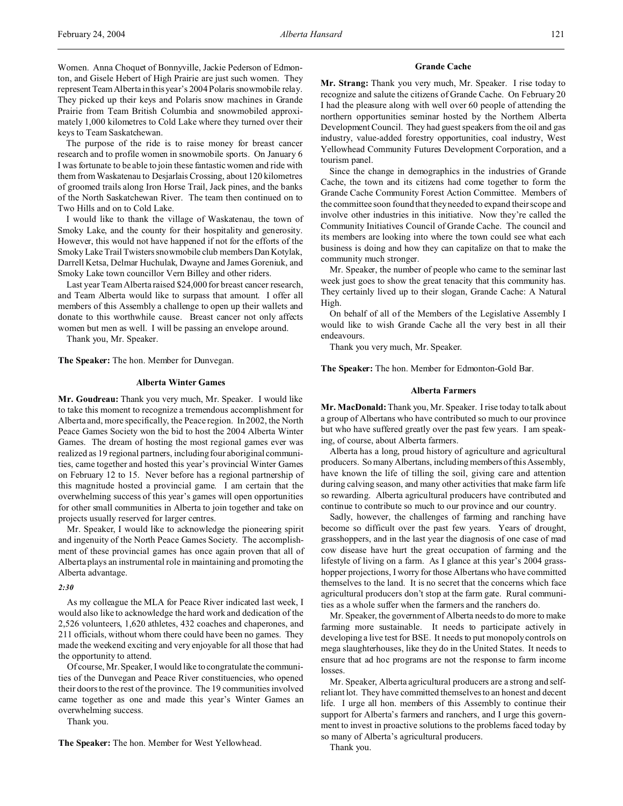The purpose of the ride is to raise money for breast cancer research and to profile women in snowmobile sports. On January 6 I was fortunate to be able to join these fantastic women and ride with them from Waskatenau to Desjarlais Crossing, about 120 kilometres of groomed trails along Iron Horse Trail, Jack pines, and the banks of the North Saskatchewan River. The team then continued on to Two Hills and on to Cold Lake.

I would like to thank the village of Waskatenau, the town of Smoky Lake, and the county for their hospitality and generosity. However, this would not have happened if not for the efforts of the Smoky Lake Trail Twisters snowmobile club members Dan Kotylak, Darrell Ketsa, Delmar Huchulak, Dwayne and James Goreniuk, and Smoky Lake town councillor Vern Billey and other riders.

Last year Team Alberta raised \$24,000 for breast cancer research, and Team Alberta would like to surpass that amount. I offer all members of this Assembly a challenge to open up their wallets and donate to this worthwhile cause. Breast cancer not only affects women but men as well. I will be passing an envelope around.

Thank you, Mr. Speaker.

**The Speaker:** The hon. Member for Dunvegan.

#### **Alberta Winter Games**

**Mr. Goudreau:** Thank you very much, Mr. Speaker. I would like to take this moment to recognize a tremendous accomplishment for Alberta and, more specifically, the Peace region. In 2002, the North Peace Games Society won the bid to host the 2004 Alberta Winter Games. The dream of hosting the most regional games ever was realized as 19 regional partners, including four aboriginal communities, came together and hosted this year's provincial Winter Games on February 12 to 15. Never before has a regional partnership of this magnitude hosted a provincial game. I am certain that the overwhelming success of this year's games will open opportunities for other small communities in Alberta to join together and take on projects usually reserved for larger centres.

Mr. Speaker, I would like to acknowledge the pioneering spirit and ingenuity of the North Peace Games Society. The accomplishment of these provincial games has once again proven that all of Alberta plays an instrumental role in maintaining and promoting the Alberta advantage.

### *2:30*

As my colleague the MLA for Peace River indicated last week, I would also like to acknowledge the hard work and dedication of the 2,526 volunteers, 1,620 athletes, 432 coaches and chaperones, and 211 officials, without whom there could have been no games. They made the weekend exciting and very enjoyable for all those that had the opportunity to attend.

Of course, Mr. Speaker, I would like to congratulate the communities of the Dunvegan and Peace River constituencies, who opened their doors to the rest of the province. The 19 communities involved came together as one and made this year's Winter Games an overwhelming success.

Thank you.

**The Speaker:** The hon. Member for West Yellowhead.

#### **Grande Cache**

**Mr. Strang:** Thank you very much, Mr. Speaker. I rise today to recognize and salute the citizens of Grande Cache. On February 20 I had the pleasure along with well over 60 people of attending the northern opportunities seminar hosted by the Northern Alberta Development Council. They had guest speakers from the oil and gas industry, value-added forestry opportunities, coal industry, West Yellowhead Community Futures Development Corporation, and a tourism panel.

Since the change in demographics in the industries of Grande Cache, the town and its citizens had come together to form the Grande Cache Community Forest Action Committee. Members of the committee soon found that they needed to expand their scope and involve other industries in this initiative. Now they're called the Community Initiatives Council of Grande Cache. The council and its members are looking into where the town could see what each business is doing and how they can capitalize on that to make the community much stronger.

Mr. Speaker, the number of people who came to the seminar last week just goes to show the great tenacity that this community has. They certainly lived up to their slogan, Grande Cache: A Natural High.

On behalf of all of the Members of the Legislative Assembly I would like to wish Grande Cache all the very best in all their endeavours.

Thank you very much, Mr. Speaker.

**The Speaker:** The hon. Member for Edmonton-Gold Bar.

#### **Alberta Farmers**

**Mr. MacDonald:** Thank you, Mr. Speaker. I rise today to talk about a group of Albertans who have contributed so much to our province but who have suffered greatly over the past few years. I am speaking, of course, about Alberta farmers.

Alberta has a long, proud history of agriculture and agricultural producers. So many Albertans, including members of this Assembly, have known the life of tilling the soil, giving care and attention during calving season, and many other activities that make farm life so rewarding. Alberta agricultural producers have contributed and continue to contribute so much to our province and our country.

Sadly, however, the challenges of farming and ranching have become so difficult over the past few years. Years of drought, grasshoppers, and in the last year the diagnosis of one case of mad cow disease have hurt the great occupation of farming and the lifestyle of living on a farm. As I glance at this year's 2004 grasshopper projections, I worry for those Albertans who have committed themselves to the land. It is no secret that the concerns which face agricultural producers don't stop at the farm gate. Rural communities as a whole suffer when the farmers and the ranchers do.

Mr. Speaker, the government of Alberta needs to do more to make farming more sustainable. It needs to participate actively in developing a live test for BSE. It needs to put monopoly controls on mega slaughterhouses, like they do in the United States. It needs to ensure that ad hoc programs are not the response to farm income losses.

Mr. Speaker, Alberta agricultural producers are a strong and selfreliant lot. They have committed themselves to an honest and decent life. I urge all hon. members of this Assembly to continue their support for Alberta's farmers and ranchers, and I urge this government to invest in proactive solutions to the problems faced today by so many of Alberta's agricultural producers.

Thank you.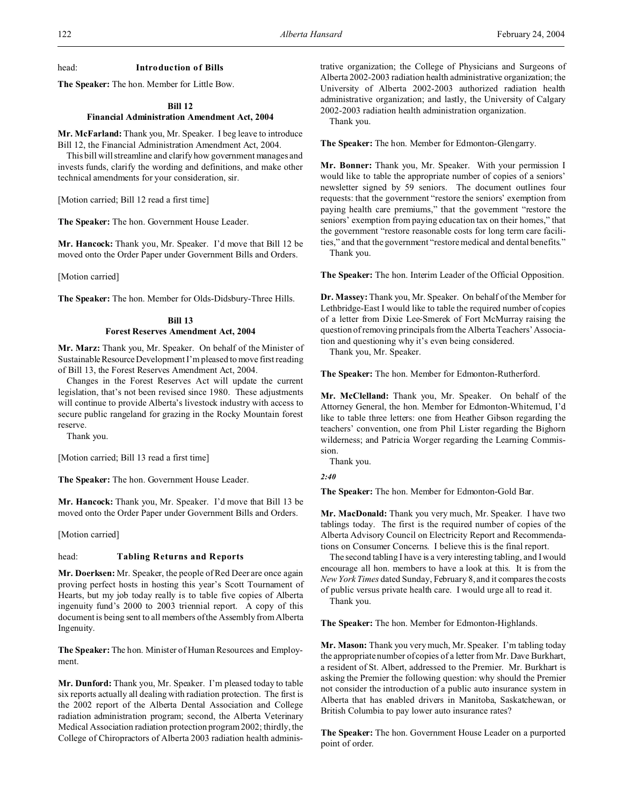head: **Introduction of Bills**

**The Speaker:** The hon. Member for Little Bow.

### **Bill 12**

## **Financial Administration Amendment Act, 2004**

**Mr. McFarland:** Thank you, Mr. Speaker. I beg leave to introduce Bill 12, the Financial Administration Amendment Act, 2004.

This bill will streamline and clarify how government manages and invests funds, clarify the wording and definitions, and make other technical amendments for your consideration, sir.

[Motion carried; Bill 12 read a first time]

**The Speaker:** The hon. Government House Leader.

**Mr. Hancock:** Thank you, Mr. Speaker. I'd move that Bill 12 be moved onto the Order Paper under Government Bills and Orders.

[Motion carried]

**The Speaker:** The hon. Member for Olds-Didsbury-Three Hills.

## **Bill 13 Forest Reserves Amendment Act, 2004**

**Mr. Marz:** Thank you, Mr. Speaker. On behalf of the Minister of Sustainable Resource Development I'm pleased to move first reading of Bill 13, the Forest Reserves Amendment Act, 2004.

Changes in the Forest Reserves Act will update the current legislation, that's not been revised since 1980. These adjustments will continue to provide Alberta's livestock industry with access to secure public rangeland for grazing in the Rocky Mountain forest reserve.

Thank you.

[Motion carried; Bill 13 read a first time]

**The Speaker:** The hon. Government House Leader.

**Mr. Hancock:** Thank you, Mr. Speaker. I'd move that Bill 13 be moved onto the Order Paper under Government Bills and Orders.

[Motion carried]

### head: **Tabling Returns and Reports**

**Mr. Doerksen:** Mr. Speaker, the people of Red Deer are once again proving perfect hosts in hosting this year's Scott Tournament of Hearts, but my job today really is to table five copies of Alberta ingenuity fund's 2000 to 2003 triennial report. A copy of this document is being sent to all members of the Assembly from Alberta Ingenuity.

**The Speaker:** The hon. Minister of Human Resources and Employment.

**Mr. Dunford:** Thank you, Mr. Speaker. I'm pleased today to table six reports actually all dealing with radiation protection. The first is the 2002 report of the Alberta Dental Association and College radiation administration program; second, the Alberta Veterinary Medical Association radiation protection program 2002; thirdly, the College of Chiropractors of Alberta 2003 radiation health administrative organization; the College of Physicians and Surgeons of Alberta 2002-2003 radiation health administrative organization; the University of Alberta 2002-2003 authorized radiation health administrative organization; and lastly, the University of Calgary 2002-2003 radiation health administration organization.

Thank you.

**The Speaker:** The hon. Member for Edmonton-Glengarry.

**Mr. Bonner:** Thank you, Mr. Speaker. With your permission I would like to table the appropriate number of copies of a seniors' newsletter signed by 59 seniors. The document outlines four requests: that the government "restore the seniors' exemption from paying health care premiums," that the government "restore the seniors' exemption from paying education tax on their homes," that the government "restore reasonable costs for long term care facilities," and that the government "restore medical and dental benefits." Thank you.

**The Speaker:** The hon. Interim Leader of the Official Opposition.

**Dr. Massey:**Thank you, Mr. Speaker. On behalf of the Member for Lethbridge-East I would like to table the required number of copies of a letter from Dixie Lee-Smerek of Fort McMurray raising the question of removing principals from the Alberta Teachers' Association and questioning why it's even being considered.

Thank you, Mr. Speaker.

**The Speaker:** The hon. Member for Edmonton-Rutherford.

**Mr. McClelland:** Thank you, Mr. Speaker. On behalf of the Attorney General, the hon. Member for Edmonton-Whitemud, I'd like to table three letters: one from Heather Gibson regarding the teachers' convention, one from Phil Lister regarding the Bighorn wilderness; and Patricia Worger regarding the Learning Commission.

Thank you.

*2:40*

**The Speaker:** The hon. Member for Edmonton-Gold Bar.

**Mr. MacDonald:** Thank you very much, Mr. Speaker. I have two tablings today. The first is the required number of copies of the Alberta Advisory Council on Electricity Report and Recommendations on Consumer Concerns. I believe this is the final report.

The second tabling I have is a very interesting tabling, and I would encourage all hon. members to have a look at this. It is from the *New York Times* dated Sunday, February 8, and it compares the costs of public versus private health care. I would urge all to read it.

Thank you.

**The Speaker:** The hon. Member for Edmonton-Highlands.

**Mr. Mason:** Thank you very much, Mr. Speaker. I'm tabling today the appropriate number of copies of a letter from Mr. Dave Burkhart, a resident of St. Albert, addressed to the Premier. Mr. Burkhart is asking the Premier the following question: why should the Premier not consider the introduction of a public auto insurance system in Alberta that has enabled drivers in Manitoba, Saskatchewan, or British Columbia to pay lower auto insurance rates?

**The Speaker:** The hon. Government House Leader on a purported point of order.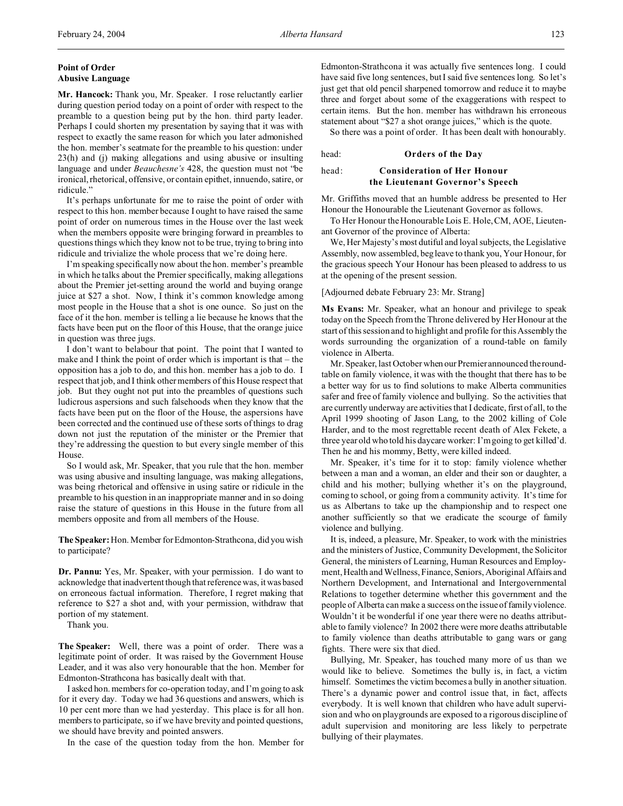## **Point of Order Abusive Language**

**Mr. Hancock:** Thank you, Mr. Speaker. I rose reluctantly earlier during question period today on a point of order with respect to the preamble to a question being put by the hon. third party leader. Perhaps I could shorten my presentation by saying that it was with respect to exactly the same reason for which you later admonished the hon. member's seatmate for the preamble to his question: under 23(h) and (j) making allegations and using abusive or insulting language and under *Beauchesne's* 428, the question must not "be ironical, rhetorical, offensive, or contain epithet, innuendo, satire, or ridicule."

It's perhaps unfortunate for me to raise the point of order with respect to this hon. member because I ought to have raised the same point of order on numerous times in the House over the last week when the members opposite were bringing forward in preambles to questions things which they know not to be true, trying to bring into ridicule and trivialize the whole process that we're doing here.

I'm speaking specifically now about the hon. member's preamble in which he talks about the Premier specifically, making allegations about the Premier jet-setting around the world and buying orange juice at \$27 a shot. Now, I think it's common knowledge among most people in the House that a shot is one ounce. So just on the face of it the hon. member is telling a lie because he knows that the facts have been put on the floor of this House, that the orange juice in question was three jugs.

I don't want to belabour that point. The point that I wanted to make and I think the point of order which is important is that  $-$  the opposition has a job to do, and this hon. member has a job to do. I respect that job, and I think other members of this House respect that job. But they ought not put into the preambles of questions such ludicrous aspersions and such falsehoods when they know that the facts have been put on the floor of the House, the aspersions have been corrected and the continued use of these sorts of things to drag down not just the reputation of the minister or the Premier that they're addressing the question to but every single member of this House.

So I would ask, Mr. Speaker, that you rule that the hon. member was using abusive and insulting language, was making allegations, was being rhetorical and offensive in using satire or ridicule in the preamble to his question in an inappropriate manner and in so doing raise the stature of questions in this House in the future from all members opposite and from all members of the House.

**The Speaker:** Hon. Member for Edmonton-Strathcona, did you wish to participate?

**Dr. Pannu:** Yes, Mr. Speaker, with your permission. I do want to acknowledge that inadvertent though that reference was, it was based on erroneous factual information. Therefore, I regret making that reference to \$27 a shot and, with your permission, withdraw that portion of my statement.

Thank you.

**The Speaker:** Well, there was a point of order. There was a legitimate point of order. It was raised by the Government House Leader, and it was also very honourable that the hon. Member for Edmonton-Strathcona has basically dealt with that.

I asked hon. members for co-operation today, and I'm going to ask for it every day. Today we had 36 questions and answers, which is 10 per cent more than we had yesterday. This place is for all hon. members to participate, so if we have brevity and pointed questions, we should have brevity and pointed answers.

In the case of the question today from the hon. Member for

Edmonton-Strathcona it was actually five sentences long. I could have said five long sentences, but I said five sentences long. So let's just get that old pencil sharpened tomorrow and reduce it to maybe three and forget about some of the exaggerations with respect to certain items. But the hon. member has withdrawn his erroneous statement about "\$27 a shot orange juices," which is the quote.

So there was a point of order. It has been dealt with honourably.

### head: **Orders of the Day**

## head: **Consideration of Her Honour the Lieutenant Governor's Speech**

Mr. Griffiths moved that an humble address be presented to Her Honour the Honourable the Lieutenant Governor as follows.

To Her Honour the Honourable Lois E. Hole, CM, AOE, Lieutenant Governor of the province of Alberta:

We, Her Majesty's most dutiful and loyal subjects, the Legislative Assembly, now assembled, beg leave to thank you, Your Honour, for the gracious speech Your Honour has been pleased to address to us at the opening of the present session.

### [Adjourned debate February 23: Mr. Strang]

**Ms Evans:** Mr. Speaker, what an honour and privilege to speak today on the Speech from the Throne delivered by Her Honour at the start of this session and to highlight and profile for this Assembly the words surrounding the organization of a round-table on family violence in Alberta.

Mr. Speaker, last October when our Premier announced the roundtable on family violence, it was with the thought that there has to be a better way for us to find solutions to make Alberta communities safer and free of family violence and bullying. So the activities that are currently underway are activities that I dedicate, first of all, to the April 1999 shooting of Jason Lang, to the 2002 killing of Cole Harder, and to the most regrettable recent death of Alex Fekete, a three year old who told his daycare worker: I'm going to get killed'd. Then he and his mommy, Betty, were killed indeed.

Mr. Speaker, it's time for it to stop: family violence whether between a man and a woman, an elder and their son or daughter, a child and his mother; bullying whether it's on the playground, coming to school, or going from a community activity. It's time for us as Albertans to take up the championship and to respect one another sufficiently so that we eradicate the scourge of family violence and bullying.

It is, indeed, a pleasure, Mr. Speaker, to work with the ministries and the ministers of Justice, Community Development, the Solicitor General, the ministers of Learning, Human Resources and Employment, Health and Wellness, Finance, Seniors, Aboriginal Affairs and Northern Development, and International and Intergovernmental Relations to together determine whether this government and the people of Alberta can make a success on the issue of family violence. Wouldn't it be wonderful if one year there were no deaths attributable to family violence? In 2002 there were more deaths attributable to family violence than deaths attributable to gang wars or gang fights. There were six that died.

Bullying, Mr. Speaker, has touched many more of us than we would like to believe. Sometimes the bully is, in fact, a victim himself. Sometimes the victim becomes a bully in another situation. There's a dynamic power and control issue that, in fact, affects everybody. It is well known that children who have adult supervision and who on playgrounds are exposed to a rigorous discipline of adult supervision and monitoring are less likely to perpetrate bullying of their playmates.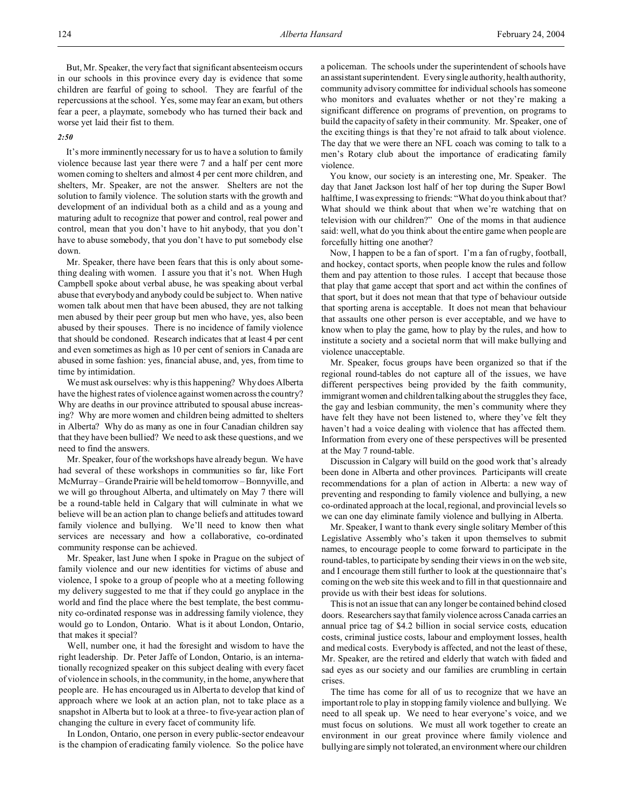But, Mr. Speaker, the very fact that significant absenteeism occurs in our schools in this province every day is evidence that some children are fearful of going to school. They are fearful of the repercussions at the school. Yes, some may fear an exam, but others fear a peer, a playmate, somebody who has turned their back and worse yet laid their fist to them.

### *2:50*

It's more imminently necessary for us to have a solution to family violence because last year there were 7 and a half per cent more women coming to shelters and almost 4 per cent more children, and shelters, Mr. Speaker, are not the answer. Shelters are not the solution to family violence. The solution starts with the growth and development of an individual both as a child and as a young and maturing adult to recognize that power and control, real power and control, mean that you don't have to hit anybody, that you don't have to abuse somebody, that you don't have to put somebody else down.

Mr. Speaker, there have been fears that this is only about something dealing with women. I assure you that it's not. When Hugh Campbell spoke about verbal abuse, he was speaking about verbal abuse that everybody and anybody could be subject to. When native women talk about men that have been abused, they are not talking men abused by their peer group but men who have, yes, also been abused by their spouses. There is no incidence of family violence that should be condoned. Research indicates that at least 4 per cent and even sometimes as high as 10 per cent of seniors in Canada are abused in some fashion: yes, financial abuse, and, yes, from time to time by intimidation.

We must ask ourselves: why is this happening? Why does Alberta have the highest rates of violence against women across the country? Why are deaths in our province attributed to spousal abuse increasing? Why are more women and children being admitted to shelters in Alberta? Why do as many as one in four Canadian children say that they have been bullied? We need to ask these questions, and we need to find the answers.

Mr. Speaker, four of the workshops have already begun. We have had several of these workshops in communities so far, like Fort McMurray – Grande Prairie will be held tomorrow – Bonnyville, and we will go throughout Alberta, and ultimately on May 7 there will be a round-table held in Calgary that will culminate in what we believe will be an action plan to change beliefs and attitudes toward family violence and bullying. We'll need to know then what services are necessary and how a collaborative, co-ordinated community response can be achieved.

Mr. Speaker, last June when I spoke in Prague on the subject of family violence and our new identities for victims of abuse and violence, I spoke to a group of people who at a meeting following my delivery suggested to me that if they could go anyplace in the world and find the place where the best template, the best community co-ordinated response was in addressing family violence, they would go to London, Ontario. What is it about London, Ontario, that makes it special?

Well, number one, it had the foresight and wisdom to have the right leadership. Dr. Peter Jaffe of London, Ontario, is an internationally recognized speaker on this subject dealing with every facet of violence in schools, in the community, in the home, anywhere that people are. He has encouraged us in Alberta to develop that kind of approach where we look at an action plan, not to take place as a snapshot in Alberta but to look at a three- to five-year action plan of changing the culture in every facet of community life.

In London, Ontario, one person in every public-sector endeavour is the champion of eradicating family violence. So the police have

a policeman. The schools under the superintendent of schools have an assistant superintendent. Every single authority, health authority, community advisory committee for individual schools has someone who monitors and evaluates whether or not they're making a significant difference on programs of prevention, on programs to build the capacity of safety in their community. Mr. Speaker, one of the exciting things is that they're not afraid to talk about violence. The day that we were there an NFL coach was coming to talk to a men's Rotary club about the importance of eradicating family violence.

You know, our society is an interesting one, Mr. Speaker. The day that Janet Jackson lost half of her top during the Super Bowl halftime, I was expressing to friends: "What do you think about that? What should we think about that when we're watching that on television with our children?" One of the moms in that audience said: well, what do you think about the entire game when people are forcefully hitting one another?

Now, I happen to be a fan of sport. I'm a fan of rugby, football, and hockey, contact sports, when people know the rules and follow them and pay attention to those rules. I accept that because those that play that game accept that sport and act within the confines of that sport, but it does not mean that that type of behaviour outside that sporting arena is acceptable. It does not mean that behaviour that assaults one other person is ever acceptable, and we have to know when to play the game, how to play by the rules, and how to institute a society and a societal norm that will make bullying and violence unacceptable.

Mr. Speaker, focus groups have been organized so that if the regional round-tables do not capture all of the issues, we have different perspectives being provided by the faith community, immigrant women and children talking about the struggles they face, the gay and lesbian community, the men's community where they have felt they have not been listened to, where they've felt they haven't had a voice dealing with violence that has affected them. Information from every one of these perspectives will be presented at the May 7 round-table.

Discussion in Calgary will build on the good work that's already been done in Alberta and other provinces. Participants will create recommendations for a plan of action in Alberta: a new way of preventing and responding to family violence and bullying, a new co-ordinated approach at the local, regional, and provincial levels so we can one day eliminate family violence and bullying in Alberta.

Mr. Speaker, I want to thank every single solitary Member of this Legislative Assembly who's taken it upon themselves to submit names, to encourage people to come forward to participate in the round-tables, to participate by sending their views in on the web site, and I encourage them still further to look at the questionnaire that's coming on the web site this week and to fill in that questionnaire and provide us with their best ideas for solutions.

This is not an issue that can any longer be contained behind closed doors. Researchers say that family violence across Canada carries an annual price tag of \$4.2 billion in social service costs, education costs, criminal justice costs, labour and employment losses, health and medical costs. Everybody is affected, and not the least of these, Mr. Speaker, are the retired and elderly that watch with faded and sad eyes as our society and our families are crumbling in certain crises.

The time has come for all of us to recognize that we have an important role to play in stopping family violence and bullying. We need to all speak up. We need to hear everyone's voice, and we must focus on solutions. We must all work together to create an environment in our great province where family violence and bullying are simply not tolerated, an environment where our children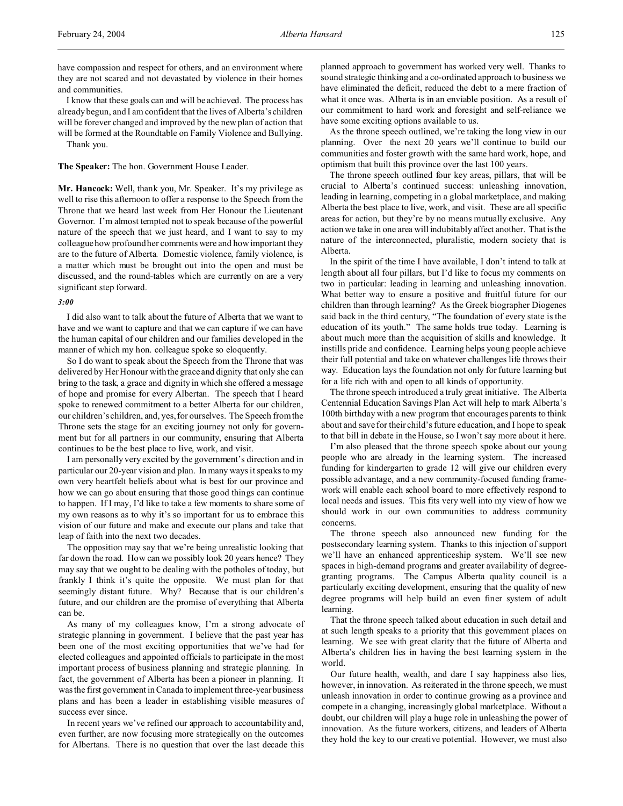have compassion and respect for others, and an environment where they are not scared and not devastated by violence in their homes and communities.

I know that these goals can and will be achieved. The process has already begun, and I am confident that the lives of Alberta's children will be forever changed and improved by the new plan of action that will be formed at the Roundtable on Family Violence and Bullying. Thank you.

**The Speaker:** The hon. Government House Leader.

**Mr. Hancock:** Well, thank you, Mr. Speaker. It's my privilege as well to rise this afternoon to offer a response to the Speech from the Throne that we heard last week from Her Honour the Lieutenant Governor. I'm almost tempted not to speak because of the powerful nature of the speech that we just heard, and I want to say to my colleague how profound her comments were and how important they are to the future of Alberta. Domestic violence, family violence, is a matter which must be brought out into the open and must be discussed, and the round-tables which are currently on are a very significant step forward.

### *3:00*

I did also want to talk about the future of Alberta that we want to have and we want to capture and that we can capture if we can have the human capital of our children and our families developed in the manner of which my hon. colleague spoke so eloquently.

So I do want to speak about the Speech from the Throne that was delivered by Her Honour with the grace and dignity that only she can bring to the task, a grace and dignity in which she offered a message of hope and promise for every Albertan. The speech that I heard spoke to renewed commitment to a better Alberta for our children, our children's children, and, yes, for ourselves. The Speech from the Throne sets the stage for an exciting journey not only for government but for all partners in our community, ensuring that Alberta continues to be the best place to live, work, and visit.

I am personally very excited by the government's direction and in particular our 20-year vision and plan. In many ways it speaks to my own very heartfelt beliefs about what is best for our province and how we can go about ensuring that those good things can continue to happen. If I may, I'd like to take a few moments to share some of my own reasons as to why it's so important for us to embrace this vision of our future and make and execute our plans and take that leap of faith into the next two decades.

The opposition may say that we're being unrealistic looking that far down the road. How can we possibly look 20 years hence? They may say that we ought to be dealing with the potholes of today, but frankly I think it's quite the opposite. We must plan for that seemingly distant future. Why? Because that is our children's future, and our children are the promise of everything that Alberta can be.

As many of my colleagues know, I'm a strong advocate of strategic planning in government. I believe that the past year has been one of the most exciting opportunities that we've had for elected colleagues and appointed officials to participate in the most important process of business planning and strategic planning. In fact, the government of Alberta has been a pioneer in planning. It was the first government in Canada to implement three-year business plans and has been a leader in establishing visible measures of success ever since.

In recent years we've refined our approach to accountability and, even further, are now focusing more strategically on the outcomes for Albertans. There is no question that over the last decade this planned approach to government has worked very well. Thanks to sound strategic thinking and a co-ordinated approach to business we have eliminated the deficit, reduced the debt to a mere fraction of what it once was. Alberta is in an enviable position. As a result of our commitment to hard work and foresight and self-reliance we have some exciting options available to us.

As the throne speech outlined, we're taking the long view in our planning. Over the next 20 years we'll continue to build our communities and foster growth with the same hard work, hope, and optimism that built this province over the last 100 years.

The throne speech outlined four key areas, pillars, that will be crucial to Alberta's continued success: unleashing innovation, leading in learning, competing in a global marketplace, and making Alberta the best place to live, work, and visit. These are all specific areas for action, but they're by no means mutually exclusive. Any action we take in one area will indubitably affect another. That is the nature of the interconnected, pluralistic, modern society that is Alberta.

In the spirit of the time I have available, I don't intend to talk at length about all four pillars, but I'd like to focus my comments on two in particular: leading in learning and unleashing innovation. What better way to ensure a positive and fruitful future for our children than through learning? As the Greek biographer Diogenes said back in the third century, "The foundation of every state is the education of its youth." The same holds true today. Learning is about much more than the acquisition of skills and knowledge. It instills pride and confidence. Learning helps young people achieve their full potential and take on whatever challenges life throws their way. Education lays the foundation not only for future learning but for a life rich with and open to all kinds of opportunity.

The throne speech introduced a truly great initiative. The Alberta Centennial Education Savings Plan Act will help to mark Alberta's 100th birthday with a new program that encourages parents to think about and save for their child's future education, and I hope to speak to that bill in debate in the House, so I won't say more about it here.

I'm also pleased that the throne speech spoke about our young people who are already in the learning system. The increased funding for kindergarten to grade 12 will give our children every possible advantage, and a new community-focused funding framework will enable each school board to more effectively respond to local needs and issues. This fits very well into my view of how we should work in our own communities to address community concerns.

The throne speech also announced new funding for the postsecondary learning system. Thanks to this injection of support we'll have an enhanced apprenticeship system. We'll see new spaces in high-demand programs and greater availability of degreegranting programs. The Campus Alberta quality council is a particularly exciting development, ensuring that the quality of new degree programs will help build an even finer system of adult learning.

That the throne speech talked about education in such detail and at such length speaks to a priority that this government places on learning. We see with great clarity that the future of Alberta and Alberta's children lies in having the best learning system in the world.

Our future health, wealth, and dare I say happiness also lies, however, in innovation. As reiterated in the throne speech, we must unleash innovation in order to continue growing as a province and compete in a changing, increasingly global marketplace. Without a doubt, our children will play a huge role in unleashing the power of innovation. As the future workers, citizens, and leaders of Alberta they hold the key to our creative potential. However, we must also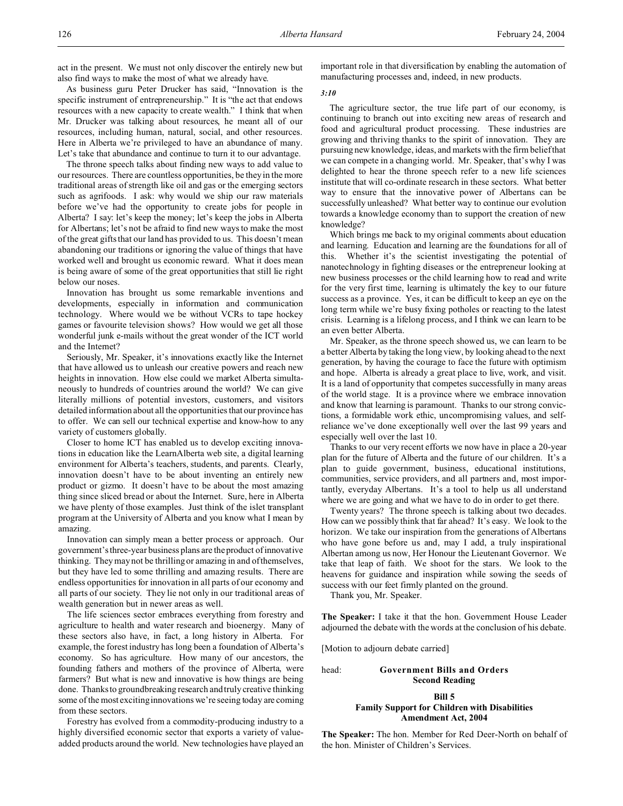act in the present. We must not only discover the entirely new but also find ways to make the most of what we already have.

As business guru Peter Drucker has said, "Innovation is the specific instrument of entrepreneurship." It is "the act that endows resources with a new capacity to create wealth." I think that when Mr. Drucker was talking about resources, he meant all of our resources, including human, natural, social, and other resources. Here in Alberta we're privileged to have an abundance of many. Let's take that abundance and continue to turn it to our advantage.

The throne speech talks about finding new ways to add value to our resources. There are countless opportunities, be they in the more traditional areas of strength like oil and gas or the emerging sectors such as agrifoods. I ask: why would we ship our raw materials before we've had the opportunity to create jobs for people in Alberta? I say: let's keep the money; let's keep the jobs in Alberta for Albertans; let's not be afraid to find new ways to make the most of the great gifts that our land has provided to us. This doesn't mean abandoning our traditions or ignoring the value of things that have worked well and brought us economic reward. What it does mean is being aware of some of the great opportunities that still lie right below our noses.

Innovation has brought us some remarkable inventions and developments, especially in information and communication technology. Where would we be without VCRs to tape hockey games or favourite television shows? How would we get all those wonderful junk e-mails without the great wonder of the ICT world and the Internet?

Seriously, Mr. Speaker, it's innovations exactly like the Internet that have allowed us to unleash our creative powers and reach new heights in innovation. How else could we market Alberta simultaneously to hundreds of countries around the world? We can give literally millions of potential investors, customers, and visitors detailed information about all the opportunities that our province has to offer. We can sell our technical expertise and know-how to any variety of customers globally.

Closer to home ICT has enabled us to develop exciting innovations in education like the LearnAlberta web site, a digital learning environment for Alberta's teachers, students, and parents. Clearly, innovation doesn't have to be about inventing an entirely new product or gizmo. It doesn't have to be about the most amazing thing since sliced bread or about the Internet. Sure, here in Alberta we have plenty of those examples. Just think of the islet transplant program at the University of Alberta and you know what I mean by amazing.

Innovation can simply mean a better process or approach. Our government's three-year business plans are the product of innovative thinking. They may not be thrilling or amazing in and of themselves, but they have led to some thrilling and amazing results. There are endless opportunities for innovation in all parts of our economy and all parts of our society. They lie not only in our traditional areas of wealth generation but in newer areas as well.

The life sciences sector embraces everything from forestry and agriculture to health and water research and bioenergy. Many of these sectors also have, in fact, a long history in Alberta. For example, the forest industry has long been a foundation of Alberta's economy. So has agriculture. How many of our ancestors, the founding fathers and mothers of the province of Alberta, were farmers? But what is new and innovative is how things are being done. Thanks to groundbreaking research and truly creative thinking some of the most exciting innovations we're seeing today are coming from these sectors.

Forestry has evolved from a commodity-producing industry to a highly diversified economic sector that exports a variety of valueadded products around the world. New technologies have played an important role in that diversification by enabling the automation of manufacturing processes and, indeed, in new products.

## *3:10*

The agriculture sector, the true life part of our economy, is continuing to branch out into exciting new areas of research and food and agricultural product processing. These industries are growing and thriving thanks to the spirit of innovation. They are pursuing new knowledge, ideas, and markets with the firm belief that we can compete in a changing world. Mr. Speaker, that's why I was delighted to hear the throne speech refer to a new life sciences institute that will co-ordinate research in these sectors. What better way to ensure that the innovative power of Albertans can be successfully unleashed? What better way to continue our evolution towards a knowledge economy than to support the creation of new knowledge?

Which brings me back to my original comments about education and learning. Education and learning are the foundations for all of this. Whether it's the scientist investigating the potential of nanotechnology in fighting diseases or the entrepreneur looking at new business processes or the child learning how to read and write for the very first time, learning is ultimately the key to our future success as a province. Yes, it can be difficult to keep an eye on the long term while we're busy fixing potholes or reacting to the latest crisis. Learning is a lifelong process, and I think we can learn to be an even better Alberta.

Mr. Speaker, as the throne speech showed us, we can learn to be a better Alberta by taking the long view, by looking ahead to the next generation, by having the courage to face the future with optimism and hope. Alberta is already a great place to live, work, and visit. It is a land of opportunity that competes successfully in many areas of the world stage. It is a province where we embrace innovation and know that learning is paramount. Thanks to our strong convictions, a formidable work ethic, uncompromising values, and selfreliance we've done exceptionally well over the last 99 years and especially well over the last 10.

Thanks to our very recent efforts we now have in place a 20-year plan for the future of Alberta and the future of our children. It's a plan to guide government, business, educational institutions, communities, service providers, and all partners and, most importantly, everyday Albertans. It's a tool to help us all understand where we are going and what we have to do in order to get there.

Twenty years? The throne speech is talking about two decades. How can we possibly think that far ahead? It's easy. We look to the horizon. We take our inspiration from the generations of Albertans who have gone before us and, may I add, a truly inspirational Albertan among us now, Her Honour the Lieutenant Governor. We take that leap of faith. We shoot for the stars. We look to the heavens for guidance and inspiration while sowing the seeds of success with our feet firmly planted on the ground.

Thank you, Mr. Speaker.

**The Speaker:** I take it that the hon. Government House Leader adjourned the debate with the words at the conclusion of his debate.

[Motion to adjourn debate carried]

head: **Government Bills and Orders Second Reading**

## **Bill 5 Family Support for Children with Disabilities Amendment Act, 2004**

**The Speaker:** The hon. Member for Red Deer-North on behalf of the hon. Minister of Children's Services.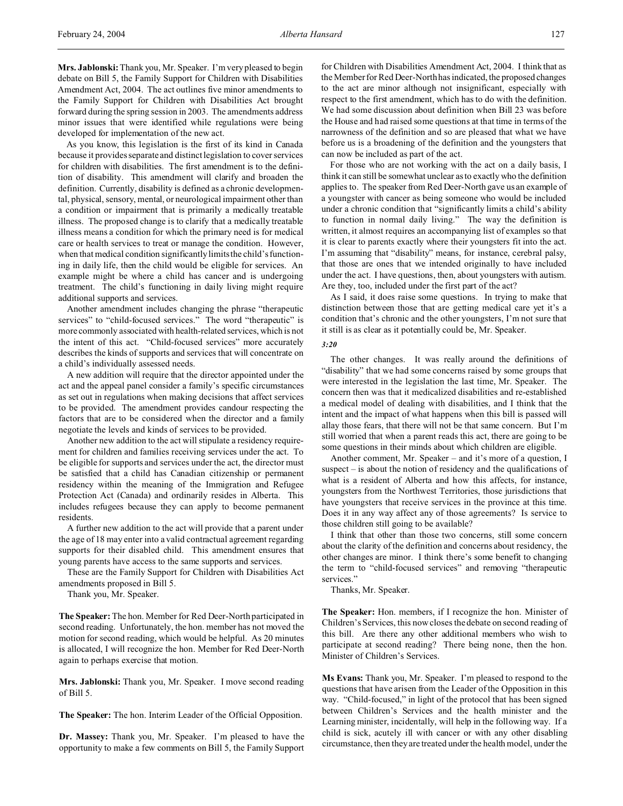**Mrs. Jablonski:** Thank you, Mr. Speaker. I'm very pleased to begin debate on Bill 5, the Family Support for Children with Disabilities Amendment Act, 2004. The act outlines five minor amendments to the Family Support for Children with Disabilities Act brought forward during the spring session in 2003. The amendments address minor issues that were identified while regulations were being developed for implementation of the new act.

As you know, this legislation is the first of its kind in Canada because it provides separate and distinct legislation to cover services for children with disabilities. The first amendment is to the definition of disability. This amendment will clarify and broaden the definition. Currently, disability is defined as a chronic developmental, physical, sensory, mental, or neurological impairment other than a condition or impairment that is primarily a medically treatable illness. The proposed change is to clarify that a medically treatable illness means a condition for which the primary need is for medical care or health services to treat or manage the condition. However, when that medical condition significantly limits the child's functioning in daily life, then the child would be eligible for services. An example might be where a child has cancer and is undergoing treatment. The child's functioning in daily living might require additional supports and services.

Another amendment includes changing the phrase "therapeutic services" to "child-focused services." The word "therapeutic" is more commonly associated with health-related services, which is not the intent of this act. "Child-focused services" more accurately describes the kinds of supports and services that will concentrate on a child's individually assessed needs.

A new addition will require that the director appointed under the act and the appeal panel consider a family's specific circumstances as set out in regulations when making decisions that affect services to be provided. The amendment provides candour respecting the factors that are to be considered when the director and a family negotiate the levels and kinds of services to be provided.

Another new addition to the act will stipulate a residency requirement for children and families receiving services under the act. To be eligible for supports and services under the act, the director must be satisfied that a child has Canadian citizenship or permanent residency within the meaning of the Immigration and Refugee Protection Act (Canada) and ordinarily resides in Alberta. This includes refugees because they can apply to become permanent residents.

A further new addition to the act will provide that a parent under the age of 18 may enter into a valid contractual agreement regarding supports for their disabled child. This amendment ensures that young parents have access to the same supports and services.

These are the Family Support for Children with Disabilities Act amendments proposed in Bill 5.

Thank you, Mr. Speaker.

**The Speaker:** The hon. Member for Red Deer-North participated in second reading. Unfortunately, the hon. member has not moved the motion for second reading, which would be helpful. As 20 minutes is allocated, I will recognize the hon. Member for Red Deer-North again to perhaps exercise that motion.

**Mrs. Jablonski:** Thank you, Mr. Speaker. I move second reading of Bill 5.

**The Speaker:** The hon. Interim Leader of the Official Opposition.

**Dr. Massey:** Thank you, Mr. Speaker. I'm pleased to have the opportunity to make a few comments on Bill 5, the Family Support for Children with Disabilities Amendment Act, 2004. I think that as the Member for Red Deer-North has indicated, the proposed changes to the act are minor although not insignificant, especially with respect to the first amendment, which has to do with the definition. We had some discussion about definition when Bill 23 was before the House and had raised some questions at that time in terms of the narrowness of the definition and so are pleased that what we have before us is a broadening of the definition and the youngsters that can now be included as part of the act.

For those who are not working with the act on a daily basis, I think it can still be somewhat unclear as to exactly who the definition applies to. The speaker from Red Deer-North gave us an example of a youngster with cancer as being someone who would be included under a chronic condition that "significantly limits a child's ability to function in normal daily living." The way the definition is written, it almost requires an accompanying list of examples so that it is clear to parents exactly where their youngsters fit into the act. I'm assuming that "disability" means, for instance, cerebral palsy, that those are ones that we intended originally to have included under the act. I have questions, then, about youngsters with autism. Are they, too, included under the first part of the act?

As I said, it does raise some questions. In trying to make that distinction between those that are getting medical care yet it's a condition that's chronic and the other youngsters, I'm not sure that it still is as clear as it potentially could be, Mr. Speaker.

### *3:20*

The other changes. It was really around the definitions of "disability" that we had some concerns raised by some groups that were interested in the legislation the last time, Mr. Speaker. The concern then was that it medicalized disabilities and re-established a medical model of dealing with disabilities, and I think that the intent and the impact of what happens when this bill is passed will allay those fears, that there will not be that same concern. But I'm still worried that when a parent reads this act, there are going to be some questions in their minds about which children are eligible.

Another comment, Mr. Speaker – and it's more of a question, I suspect – is about the notion of residency and the qualifications of what is a resident of Alberta and how this affects, for instance, youngsters from the Northwest Territories, those jurisdictions that have youngsters that receive services in the province at this time. Does it in any way affect any of those agreements? Is service to those children still going to be available?

I think that other than those two concerns, still some concern about the clarity of the definition and concerns about residency, the other changes are minor. I think there's some benefit to changing the term to "child-focused services" and removing "therapeutic services."

Thanks, Mr. Speaker.

**The Speaker:** Hon. members, if I recognize the hon. Minister of Children's Services, this now closes the debate on second reading of this bill. Are there any other additional members who wish to participate at second reading? There being none, then the hon. Minister of Children's Services.

**Ms Evans:** Thank you, Mr. Speaker. I'm pleased to respond to the questions that have arisen from the Leader of the Opposition in this way. "Child-focused," in light of the protocol that has been signed between Children's Services and the health minister and the Learning minister, incidentally, will help in the following way. If a child is sick, acutely ill with cancer or with any other disabling circumstance, then they are treated under the health model, under the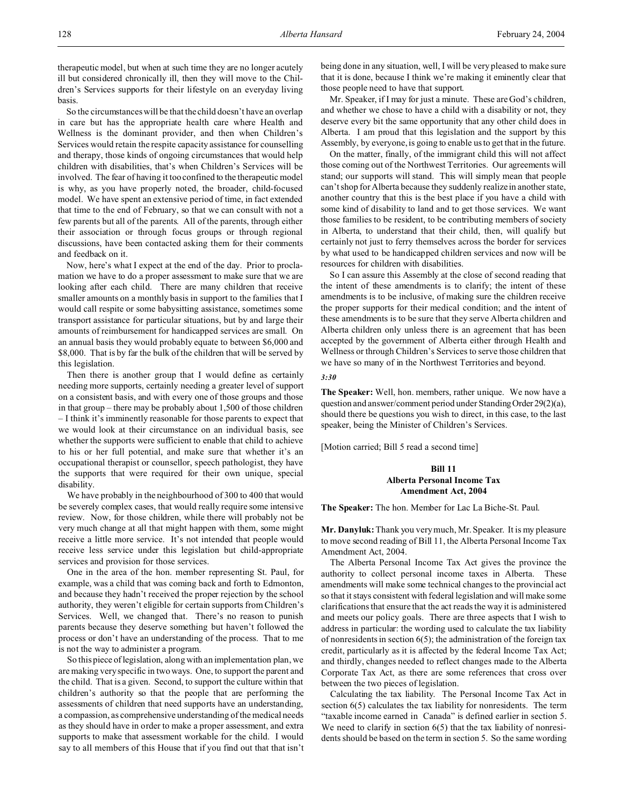therapeutic model, but when at such time they are no longer acutely ill but considered chronically ill, then they will move to the Children's Services supports for their lifestyle on an everyday living basis.

So the circumstances will be that the child doesn't have an overlap in care but has the appropriate health care where Health and Wellness is the dominant provider, and then when Children's Services would retain the respite capacity assistance for counselling and therapy, those kinds of ongoing circumstances that would help children with disabilities, that's when Children's Services will be involved. The fear of having it too confined to the therapeutic model is why, as you have properly noted, the broader, child-focused model. We have spent an extensive period of time, in fact extended that time to the end of February, so that we can consult with not a few parents but all of the parents. All of the parents, through either their association or through focus groups or through regional discussions, have been contacted asking them for their comments and feedback on it.

Now, here's what I expect at the end of the day. Prior to proclamation we have to do a proper assessment to make sure that we are looking after each child. There are many children that receive smaller amounts on a monthly basis in support to the families that I would call respite or some babysitting assistance, sometimes some transport assistance for particular situations, but by and large their amounts of reimbursement for handicapped services are small. On an annual basis they would probably equate to between \$6,000 and \$8,000. That is by far the bulk of the children that will be served by this legislation.

Then there is another group that I would define as certainly needing more supports, certainly needing a greater level of support on a consistent basis, and with every one of those groups and those in that group – there may be probably about 1,500 of those children – I think it's imminently reasonable for those parents to expect that we would look at their circumstance on an individual basis, see whether the supports were sufficient to enable that child to achieve to his or her full potential, and make sure that whether it's an occupational therapist or counsellor, speech pathologist, they have the supports that were required for their own unique, special disability.

We have probably in the neighbourhood of 300 to 400 that would be severely complex cases, that would really require some intensive review. Now, for those children, while there will probably not be very much change at all that might happen with them, some might receive a little more service. It's not intended that people would receive less service under this legislation but child-appropriate services and provision for those services.

One in the area of the hon. member representing St. Paul, for example, was a child that was coming back and forth to Edmonton, and because they hadn't received the proper rejection by the school authority, they weren't eligible for certain supports from Children's Services. Well, we changed that. There's no reason to punish parents because they deserve something but haven't followed the process or don't have an understanding of the process. That to me is not the way to administer a program.

So this piece of legislation, along with an implementation plan, we are making very specific in two ways. One, to support the parent and the child. That is a given. Second, to support the culture within that children's authority so that the people that are performing the assessments of children that need supports have an understanding, a compassion, as comprehensive understanding of the medical needs as they should have in order to make a proper assessment, and extra supports to make that assessment workable for the child. I would say to all members of this House that if you find out that that isn't

being done in any situation, well, I will be very pleased to make sure that it is done, because I think we're making it eminently clear that those people need to have that support.

Mr. Speaker, if I may for just a minute. These are God's children, and whether we chose to have a child with a disability or not, they deserve every bit the same opportunity that any other child does in Alberta. I am proud that this legislation and the support by this Assembly, by everyone, is going to enable us to get that in the future.

On the matter, finally, of the immigrant child this will not affect those coming out of the Northwest Territories. Our agreements will stand; our supports will stand. This will simply mean that people can't shop for Alberta because they suddenly realize in another state, another country that this is the best place if you have a child with some kind of disability to land and to get those services. We want those families to be resident, to be contributing members of society in Alberta, to understand that their child, then, will qualify but certainly not just to ferry themselves across the border for services by what used to be handicapped children services and now will be resources for children with disabilities.

So I can assure this Assembly at the close of second reading that the intent of these amendments is to clarify; the intent of these amendments is to be inclusive, of making sure the children receive the proper supports for their medical condition; and the intent of these amendments is to be sure that they serve Alberta children and Alberta children only unless there is an agreement that has been accepted by the government of Alberta either through Health and Wellness or through Children's Services to serve those children that we have so many of in the Northwest Territories and beyond.

#### *3:30*

**The Speaker:** Well, hon. members, rather unique. We now have a question and answer/comment period under StandingOrder 29(2)(a), should there be questions you wish to direct, in this case, to the last speaker, being the Minister of Children's Services.

[Motion carried; Bill 5 read a second time]

## **Bill 11 Alberta Personal Income Tax Amendment Act, 2004**

**The Speaker:** The hon. Member for Lac La Biche-St. Paul.

**Mr. Danyluk:** Thank you very much, Mr. Speaker. It is my pleasure to move second reading of Bill 11, the Alberta Personal Income Tax Amendment Act, 2004.

The Alberta Personal Income Tax Act gives the province the authority to collect personal income taxes in Alberta. These amendments will make some technical changes to the provincial act so that it stays consistent with federal legislation and will make some clarifications that ensure that the act reads the way it is administered and meets our policy goals. There are three aspects that I wish to address in particular: the wording used to calculate the tax liability of nonresidents in section 6(5); the administration of the foreign tax credit, particularly as it is affected by the federal Income Tax Act; and thirdly, changes needed to reflect changes made to the Alberta Corporate Tax Act, as there are some references that cross over between the two pieces of legislation.

Calculating the tax liability. The Personal Income Tax Act in section 6(5) calculates the tax liability for nonresidents. The term "taxable income earned in Canada" is defined earlier in section 5. We need to clarify in section 6(5) that the tax liability of nonresidents should be based on the term in section 5. So the same wording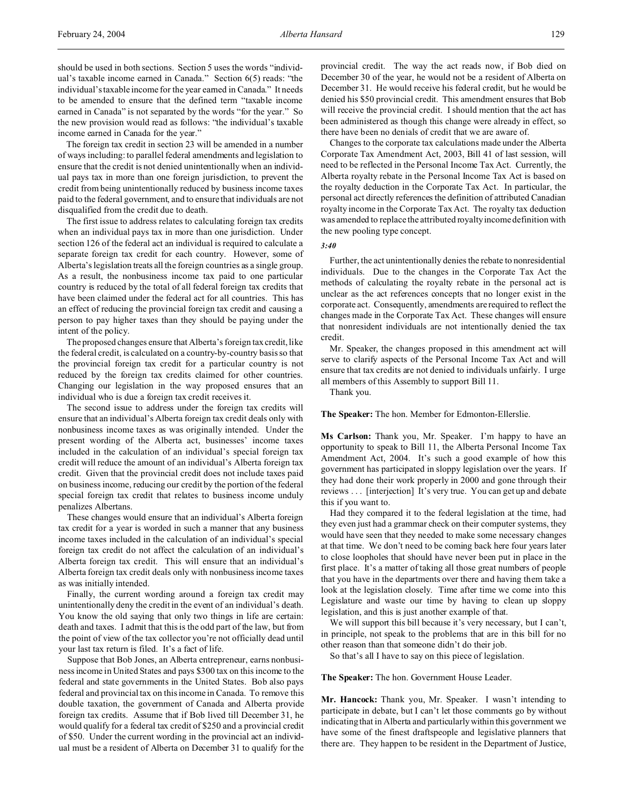should be used in both sections. Section 5 uses the words "individual's taxable income earned in Canada." Section 6(5) reads: "the individual's taxable income for the year earned in Canada." It needs to be amended to ensure that the defined term "taxable income earned in Canada" is not separated by the words "for the year." So the new provision would read as follows: "the individual's taxable income earned in Canada for the year."

The foreign tax credit in section 23 will be amended in a number of ways including: to parallel federal amendments and legislation to ensure that the credit is not denied unintentionally when an individual pays tax in more than one foreign jurisdiction, to prevent the credit from being unintentionally reduced by business income taxes paid to the federal government, and to ensure that individuals are not disqualified from the credit due to death.

The first issue to address relates to calculating foreign tax credits when an individual pays tax in more than one jurisdiction. Under section 126 of the federal act an individual is required to calculate a separate foreign tax credit for each country. However, some of Alberta's legislation treats all the foreign countries as a single group. As a result, the nonbusiness income tax paid to one particular country is reduced by the total of all federal foreign tax credits that have been claimed under the federal act for all countries. This has an effect of reducing the provincial foreign tax credit and causing a person to pay higher taxes than they should be paying under the intent of the policy.

The proposed changes ensure that Alberta's foreign tax credit, like the federal credit, is calculated on a country-by-country basis so that the provincial foreign tax credit for a particular country is not reduced by the foreign tax credits claimed for other countries. Changing our legislation in the way proposed ensures that an individual who is due a foreign tax credit receives it.

The second issue to address under the foreign tax credits will ensure that an individual's Alberta foreign tax credit deals only with nonbusiness income taxes as was originally intended. Under the present wording of the Alberta act, businesses' income taxes included in the calculation of an individual's special foreign tax credit will reduce the amount of an individual's Alberta foreign tax credit. Given that the provincial credit does not include taxes paid on business income, reducing our credit by the portion of the federal special foreign tax credit that relates to business income unduly penalizes Albertans.

These changes would ensure that an individual's Alberta foreign tax credit for a year is worded in such a manner that any business income taxes included in the calculation of an individual's special foreign tax credit do not affect the calculation of an individual's Alberta foreign tax credit. This will ensure that an individual's Alberta foreign tax credit deals only with nonbusiness income taxes as was initially intended.

Finally, the current wording around a foreign tax credit may unintentionally deny the credit in the event of an individual's death. You know the old saying that only two things in life are certain: death and taxes. I admit that this is the odd part of the law, but from the point of view of the tax collector you're not officially dead until your last tax return is filed. It's a fact of life.

Suppose that Bob Jones, an Alberta entrepreneur, earns nonbusiness income in United States and pays \$300 tax on this income to the federal and state governments in the United States. Bob also pays federal and provincial tax on this income in Canada. To remove this double taxation, the government of Canada and Alberta provide foreign tax credits. Assume that if Bob lived till December 31, he would qualify for a federal tax credit of \$250 and a provincial credit of \$50. Under the current wording in the provincial act an individual must be a resident of Alberta on December 31 to qualify for the

provincial credit. The way the act reads now, if Bob died on December 30 of the year, he would not be a resident of Alberta on December 31. He would receive his federal credit, but he would be denied his \$50 provincial credit. This amendment ensures that Bob will receive the provincial credit. I should mention that the act has been administered as though this change were already in effect, so there have been no denials of credit that we are aware of.

Changes to the corporate tax calculations made under the Alberta Corporate Tax Amendment Act, 2003, Bill 41 of last session, will need to be reflected in the Personal Income Tax Act. Currently, the Alberta royalty rebate in the Personal Income Tax Act is based on the royalty deduction in the Corporate Tax Act. In particular, the personal act directly references the definition of attributed Canadian royalty income in the Corporate Tax Act. The royalty tax deduction was amended to replace the attributed royalty income definition with the new pooling type concept.

*3:40*

Further, the act unintentionally denies the rebate to nonresidential individuals. Due to the changes in the Corporate Tax Act the methods of calculating the royalty rebate in the personal act is unclear as the act references concepts that no longer exist in the corporate act. Consequently, amendments are required to reflect the changes made in the Corporate Tax Act. These changes will ensure that nonresident individuals are not intentionally denied the tax credit.

Mr. Speaker, the changes proposed in this amendment act will serve to clarify aspects of the Personal Income Tax Act and will ensure that tax credits are not denied to individuals unfairly. I urge all members of this Assembly to support Bill 11.

Thank you.

**The Speaker:** The hon. Member for Edmonton-Ellerslie.

**Ms Carlson:** Thank you, Mr. Speaker. I'm happy to have an opportunity to speak to Bill 11, the Alberta Personal Income Tax Amendment Act, 2004. It's such a good example of how this government has participated in sloppy legislation over the years. If they had done their work properly in 2000 and gone through their reviews . . . [interjection] It's very true. You can get up and debate this if you want to.

Had they compared it to the federal legislation at the time, had they even just had a grammar check on their computer systems, they would have seen that they needed to make some necessary changes at that time. We don't need to be coming back here four years later to close loopholes that should have never been put in place in the first place. It's a matter of taking all those great numbers of people that you have in the departments over there and having them take a look at the legislation closely. Time after time we come into this Legislature and waste our time by having to clean up sloppy legislation, and this is just another example of that.

We will support this bill because it's very necessary, but I can't, in principle, not speak to the problems that are in this bill for no other reason than that someone didn't do their job.

So that's all I have to say on this piece of legislation.

**The Speaker:** The hon. Government House Leader.

**Mr. Hancock:** Thank you, Mr. Speaker. I wasn't intending to participate in debate, but I can't let those comments go by without indicating that in Alberta and particularly within this government we have some of the finest draftspeople and legislative planners that there are. They happen to be resident in the Department of Justice,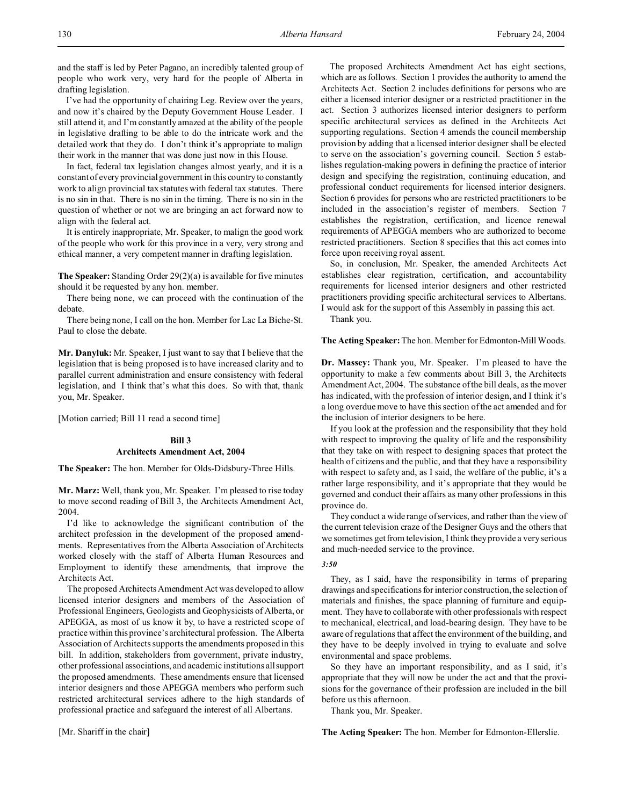and the staff is led by Peter Pagano, an incredibly talented group of people who work very, very hard for the people of Alberta in drafting legislation.

I've had the opportunity of chairing Leg. Review over the years, and now it's chaired by the Deputy Government House Leader. I still attend it, and I'm constantly amazed at the ability of the people in legislative drafting to be able to do the intricate work and the detailed work that they do. I don't think it's appropriate to malign their work in the manner that was done just now in this House.

In fact, federal tax legislation changes almost yearly, and it is a constant of every provincial government in this country to constantly work to align provincial tax statutes with federal tax statutes. There is no sin in that. There is no sin in the timing. There is no sin in the question of whether or not we are bringing an act forward now to align with the federal act.

It is entirely inappropriate, Mr. Speaker, to malign the good work of the people who work for this province in a very, very strong and ethical manner, a very competent manner in drafting legislation.

**The Speaker:** Standing Order 29(2)(a) is available for five minutes should it be requested by any hon. member.

There being none, we can proceed with the continuation of the debate.

There being none, I call on the hon. Member for Lac La Biche-St. Paul to close the debate.

**Mr. Danyluk:** Mr. Speaker, I just want to say that I believe that the legislation that is being proposed is to have increased clarity and to parallel current administration and ensure consistency with federal legislation, and I think that's what this does. So with that, thank you, Mr. Speaker.

[Motion carried; Bill 11 read a second time]

# **Bill 3 Architects Amendment Act, 2004**

**The Speaker:** The hon. Member for Olds-Didsbury-Three Hills.

**Mr. Marz:** Well, thank you, Mr. Speaker. I'm pleased to rise today to move second reading of Bill 3, the Architects Amendment Act, 2004.

I'd like to acknowledge the significant contribution of the architect profession in the development of the proposed amendments. Representatives from the Alberta Association of Architects worked closely with the staff of Alberta Human Resources and Employment to identify these amendments, that improve the Architects Act.

The proposed Architects Amendment Act was developed to allow licensed interior designers and members of the Association of Professional Engineers, Geologists and Geophysicists of Alberta, or APEGGA, as most of us know it by, to have a restricted scope of practice within this province's architectural profession. The Alberta Association of Architects supports the amendments proposed in this bill. In addition, stakeholders from government, private industry, other professional associations, and academic institutions all support the proposed amendments. These amendments ensure that licensed interior designers and those APEGGA members who perform such restricted architectural services adhere to the high standards of professional practice and safeguard the interest of all Albertans.

[Mr. Shariff in the chair]

The proposed Architects Amendment Act has eight sections, which are as follows. Section 1 provides the authority to amend the Architects Act. Section 2 includes definitions for persons who are either a licensed interior designer or a restricted practitioner in the act. Section 3 authorizes licensed interior designers to perform specific architectural services as defined in the Architects Act supporting regulations. Section 4 amends the council membership provision by adding that a licensed interior designer shall be elected to serve on the association's governing council. Section 5 establishes regulation-making powers in defining the practice of interior design and specifying the registration, continuing education, and professional conduct requirements for licensed interior designers. Section 6 provides for persons who are restricted practitioners to be included in the association's register of members. Section 7 establishes the registration, certification, and licence renewal requirements of APEGGA members who are authorized to become restricted practitioners. Section 8 specifies that this act comes into force upon receiving royal assent.

So, in conclusion, Mr. Speaker, the amended Architects Act establishes clear registration, certification, and accountability requirements for licensed interior designers and other restricted practitioners providing specific architectural services to Albertans. I would ask for the support of this Assembly in passing this act.

Thank you.

**The Acting Speaker:** The hon. Member for Edmonton-Mill Woods.

**Dr. Massey:** Thank you, Mr. Speaker. I'm pleased to have the opportunity to make a few comments about Bill 3, the Architects Amendment Act, 2004. The substance of the bill deals, as the mover has indicated, with the profession of interior design, and I think it's a long overdue move to have this section of the act amended and for the inclusion of interior designers to be here.

If you look at the profession and the responsibility that they hold with respect to improving the quality of life and the responsibility that they take on with respect to designing spaces that protect the health of citizens and the public, and that they have a responsibility with respect to safety and, as I said, the welfare of the public, it's a rather large responsibility, and it's appropriate that they would be governed and conduct their affairs as many other professions in this province do.

They conduct a wide range of services, and rather than the view of the current television craze of the Designer Guys and the others that we sometimes get from television, I think they provide a very serious and much-needed service to the province.

### *3:50*

They, as I said, have the responsibility in terms of preparing drawings and specifications for interior construction, the selection of materials and finishes, the space planning of furniture and equipment. They have to collaborate with other professionals with respect to mechanical, electrical, and load-bearing design. They have to be aware of regulations that affect the environment of the building, and they have to be deeply involved in trying to evaluate and solve environmental and space problems.

So they have an important responsibility, and as I said, it's appropriate that they will now be under the act and that the provisions for the governance of their profession are included in the bill before us this afternoon.

Thank you, Mr. Speaker.

**The Acting Speaker:** The hon. Member for Edmonton-Ellerslie.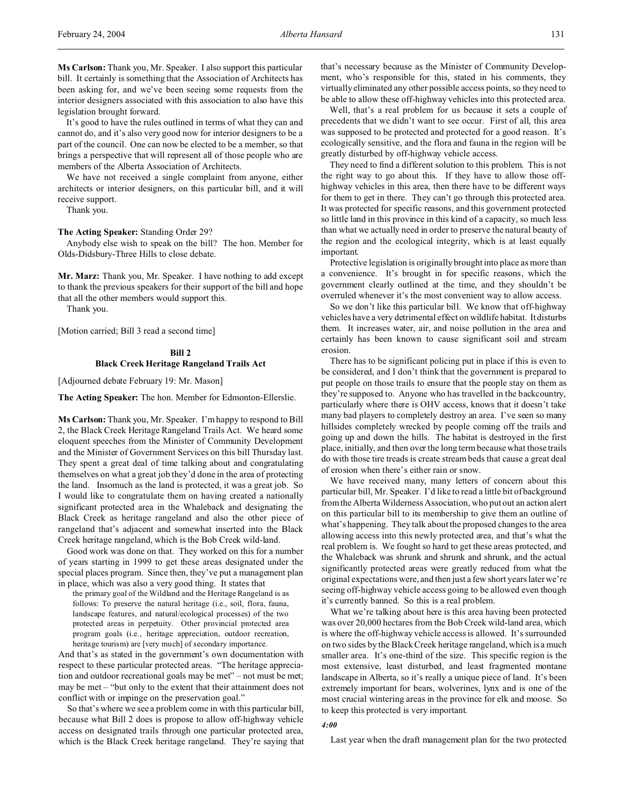**Ms Carlson:** Thank you, Mr. Speaker. I also support this particular bill. It certainly is something that the Association of Architects has been asking for, and we've been seeing some requests from the interior designers associated with this association to also have this legislation brought forward.

It's good to have the rules outlined in terms of what they can and cannot do, and it's also very good now for interior designers to be a part of the council. One can now be elected to be a member, so that brings a perspective that will represent all of those people who are members of the Alberta Association of Architects.

We have not received a single complaint from anyone, either architects or interior designers, on this particular bill, and it will receive support.

Thank you.

#### **The Acting Speaker:** Standing Order 29?

Anybody else wish to speak on the bill? The hon. Member for Olds-Didsbury-Three Hills to close debate.

**Mr. Marz:** Thank you, Mr. Speaker. I have nothing to add except to thank the previous speakers for their support of the bill and hope that all the other members would support this.

Thank you.

[Motion carried; Bill 3 read a second time]

# **Bill 2 Black Creek Heritage Rangeland Trails Act**

[Adjourned debate February 19: Mr. Mason]

**The Acting Speaker:** The hon. Member for Edmonton-Ellerslie.

**Ms Carlson:** Thank you, Mr. Speaker. I'm happy to respond to Bill 2, the Black Creek Heritage Rangeland Trails Act. We heard some eloquent speeches from the Minister of Community Development and the Minister of Government Services on this bill Thursday last. They spent a great deal of time talking about and congratulating themselves on what a great job they'd done in the area of protecting the land. Insomuch as the land is protected, it was a great job. So I would like to congratulate them on having created a nationally significant protected area in the Whaleback and designating the Black Creek as heritage rangeland and also the other piece of rangeland that's adjacent and somewhat inserted into the Black Creek heritage rangeland, which is the Bob Creek wild-land.

Good work was done on that. They worked on this for a number of years starting in 1999 to get these areas designated under the special places program. Since then, they've put a management plan in place, which was also a very good thing. It states that

the primary goal of the Wildland and the Heritage Rangeland is as follows: To preserve the natural heritage (i.e., soil, flora, fauna, landscape features, and natural/ecological processes) of the two protected areas in perpetuity. Other provincial protected area program goals (i.e., heritage appreciation, outdoor recreation, heritage tourism) are [very much] of secondary importance.

And that's as stated in the government's own documentation with respect to these particular protected areas. "The heritage appreciation and outdoor recreational goals may be met" – not must be met; may be met – "but only to the extent that their attainment does not conflict with or impinge on the preservation goal."

So that's where we see a problem come in with this particular bill, because what Bill 2 does is propose to allow off-highway vehicle access on designated trails through one particular protected area, which is the Black Creek heritage rangeland. They're saying that

that's necessary because as the Minister of Community Development, who's responsible for this, stated in his comments, they virtually eliminated any other possible access points, so they need to be able to allow these off-highway vehicles into this protected area.

Well, that's a real problem for us because it sets a couple of precedents that we didn't want to see occur. First of all, this area was supposed to be protected and protected for a good reason. It's ecologically sensitive, and the flora and fauna in the region will be greatly disturbed by off-highway vehicle access.

They need to find a different solution to this problem. This is not the right way to go about this. If they have to allow those offhighway vehicles in this area, then there have to be different ways for them to get in there. They can't go through this protected area. It was protected for specific reasons, and this government protected so little land in this province in this kind of a capacity, so much less than what we actually need in order to preserve the natural beauty of the region and the ecological integrity, which is at least equally important.

Protective legislation is originally brought into place as more than a convenience. It's brought in for specific reasons, which the government clearly outlined at the time, and they shouldn't be overruled whenever it's the most convenient way to allow access.

So we don't like this particular bill. We know that off-highway vehicles have a very detrimental effect on wildlife habitat. It disturbs them. It increases water, air, and noise pollution in the area and certainly has been known to cause significant soil and stream erosion.

There has to be significant policing put in place if this is even to be considered, and I don't think that the government is prepared to put people on those trails to ensure that the people stay on them as they're supposed to. Anyone who has travelled in the backcountry, particularly where there is OHV access, knows that it doesn't take many bad players to completely destroy an area. I've seen so many hillsides completely wrecked by people coming off the trails and going up and down the hills. The habitat is destroyed in the first place, initially, and then over the long term because what those trails do with those tire treads is create stream beds that cause a great deal of erosion when there's either rain or snow.

We have received many, many letters of concern about this particular bill, Mr. Speaker. I'd like to read a little bit of background from the Alberta Wilderness Association, who put out an action alert on this particular bill to its membership to give them an outline of what's happening. They talk about the proposed changes to the area allowing access into this newly protected area, and that's what the real problem is. We fought so hard to get these areas protected, and the Whaleback was shrunk and shrunk and shrunk, and the actual significantly protected areas were greatly reduced from what the original expectations were, and then just a few short years later we're seeing off-highway vehicle access going to be allowed even though it's currently banned. So this is a real problem.

What we're talking about here is this area having been protected was over 20,000 hectares from the Bob Creek wild-land area, which is where the off-highway vehicle access is allowed. It's surrounded on two sides by the Black Creek heritage rangeland, which is a much smaller area. It's one-third of the size. This specific region is the most extensive, least disturbed, and least fragmented montane landscape in Alberta, so it's really a unique piece of land. It's been extremely important for bears, wolverines, lynx and is one of the most crucial wintering areas in the province for elk and moose. So to keep this protected is very important.

#### *4:00*

Last year when the draft management plan for the two protected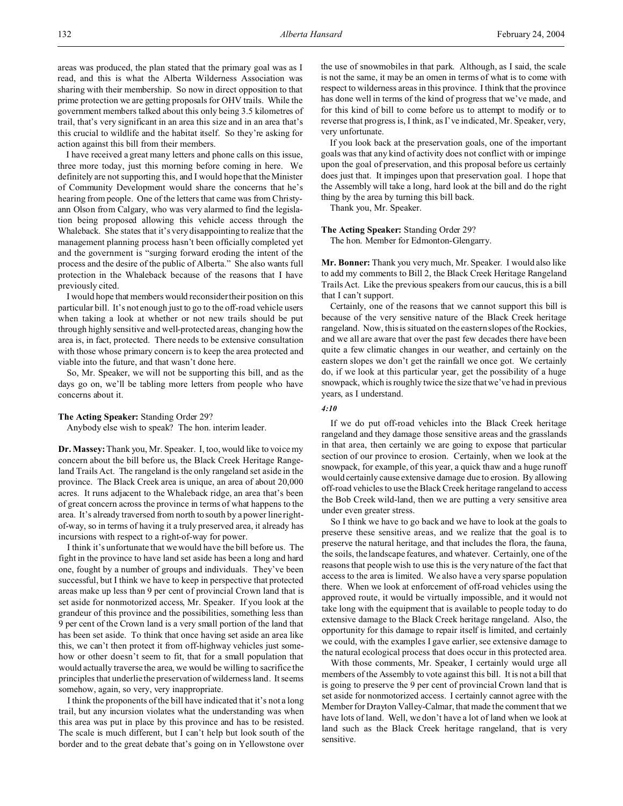areas was produced, the plan stated that the primary goal was as I read, and this is what the Alberta Wilderness Association was sharing with their membership. So now in direct opposition to that prime protection we are getting proposals for OHV trails. While the government members talked about this only being 3.5 kilometres of trail, that's very significant in an area this size and in an area that's this crucial to wildlife and the habitat itself. So they're asking for action against this bill from their members.

I have received a great many letters and phone calls on this issue, three more today, just this morning before coming in here. We definitely are not supporting this, and I would hope that the Minister of Community Development would share the concerns that he's hearing from people. One of the letters that came was from Christyann Olson from Calgary, who was very alarmed to find the legislation being proposed allowing this vehicle access through the Whaleback. She states that it's very disappointing to realize that the management planning process hasn't been officially completed yet and the government is "surging forward eroding the intent of the process and the desire of the public of Alberta." She also wants full protection in the Whaleback because of the reasons that I have previously cited.

I would hope that members would reconsider their position on this particular bill. It's not enough just to go to the off-road vehicle users when taking a look at whether or not new trails should be put through highly sensitive and well-protected areas, changing how the area is, in fact, protected. There needs to be extensive consultation with those whose primary concern is to keep the area protected and viable into the future, and that wasn't done here.

So, Mr. Speaker, we will not be supporting this bill, and as the days go on, we'll be tabling more letters from people who have concerns about it.

### **The Acting Speaker:** Standing Order 29?

Anybody else wish to speak? The hon. interim leader.

**Dr. Massey:** Thank you, Mr. Speaker. I, too, would like to voice my concern about the bill before us, the Black Creek Heritage Rangeland Trails Act. The rangeland is the only rangeland set aside in the province. The Black Creek area is unique, an area of about 20,000 acres. It runs adjacent to the Whaleback ridge, an area that's been of great concern across the province in terms of what happens to the area. It's already traversed from north to south by a power line rightof-way, so in terms of having it a truly preserved area, it already has incursions with respect to a right-of-way for power.

I think it's unfortunate that we would have the bill before us. The fight in the province to have land set aside has been a long and hard one, fought by a number of groups and individuals. They've been successful, but I think we have to keep in perspective that protected areas make up less than 9 per cent of provincial Crown land that is set aside for nonmotorized access, Mr. Speaker. If you look at the grandeur of this province and the possibilities, something less than 9 per cent of the Crown land is a very small portion of the land that has been set aside. To think that once having set aside an area like this, we can't then protect it from off-highway vehicles just somehow or other doesn't seem to fit, that for a small population that would actually traverse the area, we would be willing to sacrifice the principles that underlie the preservation of wilderness land. It seems somehow, again, so very, very inappropriate.

I think the proponents of the bill have indicated that it's not a long trail, but any incursion violates what the understanding was when this area was put in place by this province and has to be resisted. The scale is much different, but I can't help but look south of the border and to the great debate that's going on in Yellowstone over

the use of snowmobiles in that park. Although, as I said, the scale is not the same, it may be an omen in terms of what is to come with respect to wilderness areas in this province. I think that the province has done well in terms of the kind of progress that we've made, and for this kind of bill to come before us to attempt to modify or to reverse that progress is, I think, as I've indicated, Mr. Speaker, very, very unfortunate.

If you look back at the preservation goals, one of the important goals was that any kind of activity does not conflict with or impinge upon the goal of preservation, and this proposal before us certainly does just that. It impinges upon that preservation goal. I hope that the Assembly will take a long, hard look at the bill and do the right thing by the area by turning this bill back.

Thank you, Mr. Speaker.

#### **The Acting Speaker:** Standing Order 29?

The hon. Member for Edmonton-Glengarry.

**Mr. Bonner:** Thank you very much, Mr. Speaker. I would also like to add my comments to Bill 2, the Black Creek Heritage Rangeland Trails Act. Like the previous speakers from our caucus, this is a bill that I can't support.

Certainly, one of the reasons that we cannot support this bill is because of the very sensitive nature of the Black Creek heritage rangeland. Now, this is situated on the eastern slopes of the Rockies, and we all are aware that over the past few decades there have been quite a few climatic changes in our weather, and certainly on the eastern slopes we don't get the rainfall we once got. We certainly do, if we look at this particular year, get the possibility of a huge snowpack, which is roughly twice the size that we've had in previous years, as I understand.

#### *4:10*

If we do put off-road vehicles into the Black Creek heritage rangeland and they damage those sensitive areas and the grasslands in that area, then certainly we are going to expose that particular section of our province to erosion. Certainly, when we look at the snowpack, for example, of this year, a quick thaw and a huge runoff would certainly cause extensive damage due to erosion. By allowing off-road vehicles to use the Black Creek heritage rangeland to access the Bob Creek wild-land, then we are putting a very sensitive area under even greater stress.

So I think we have to go back and we have to look at the goals to preserve these sensitive areas, and we realize that the goal is to preserve the natural heritage, and that includes the flora, the fauna, the soils, the landscape features, and whatever. Certainly, one of the reasons that people wish to use this is the very nature of the fact that access to the area is limited. We also have a very sparse population there. When we look at enforcement of off-road vehicles using the approved route, it would be virtually impossible, and it would not take long with the equipment that is available to people today to do extensive damage to the Black Creek heritage rangeland. Also, the opportunity for this damage to repair itself is limited, and certainly we could, with the examples I gave earlier, see extensive damage to the natural ecological process that does occur in this protected area.

With those comments, Mr. Speaker, I certainly would urge all members of the Assembly to vote against this bill. It is not a bill that is going to preserve the 9 per cent of provincial Crown land that is set aside for nonmotorized access. I certainly cannot agree with the Member for Drayton Valley-Calmar, that made the comment that we have lots of land. Well, we don't have a lot of land when we look at land such as the Black Creek heritage rangeland, that is very sensitive.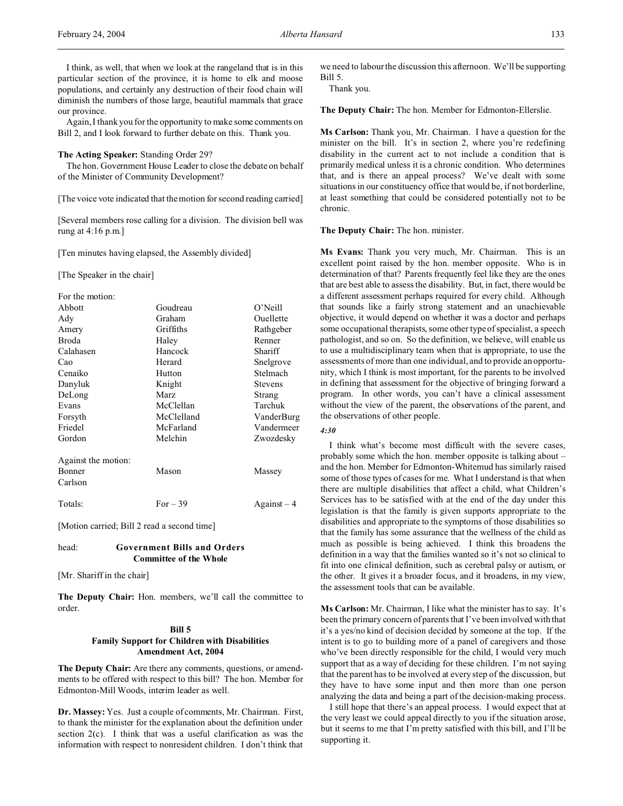I think, as well, that when we look at the rangeland that is in this particular section of the province, it is home to elk and moose populations, and certainly any destruction of their food chain will diminish the numbers of those large, beautiful mammals that grace our province.

Again, I thank you for the opportunity to make some comments on Bill 2, and I look forward to further debate on this. Thank you.

### **The Acting Speaker:** Standing Order 29?

The hon. Government House Leader to close the debate on behalf of the Minister of Community Development?

[The voice vote indicated that the motion for second reading carried]

[Several members rose calling for a division. The division bell was rung at 4:16 p.m.]

[Ten minutes having elapsed, the Assembly divided]

[The Speaker in the chair]

| For the motion:     |            |                |
|---------------------|------------|----------------|
| Abbott              | Goudreau   | $O'$ Neill     |
| Ady                 | Graham     | Ouellette      |
| Amery               | Griffiths  | Rathgeber      |
| Broda               | Haley      | Renner         |
| Calahasen           | Hancock    | Shariff        |
| Cao                 | Herard     | Snelgrove      |
| Cenaiko             | Hutton     | Stelmach       |
| Danyluk             | Knight     | <b>Stevens</b> |
| DeLong              | Marz       | Strang         |
| Evans               | McClellan  | Tarchuk        |
| Forsyth             | McClelland | VanderBurg     |
| Friedel             | McFarland  | Vandermeer     |
| Gordon              | Melchin    | Zwozdesky      |
| Against the motion: |            |                |
| Bonner              | Mason      | Massey         |
| Carlson             |            |                |
| Totals:             | For $-39$  | Against – 4    |

[Motion carried; Bill 2 read a second time]

## head: **Government Bills and Orders Committee of the Whole**

[Mr. Shariff in the chair]

**The Deputy Chair:** Hon. members, we'll call the committee to order.

## **Bill 5 Family Support for Children with Disabilities Amendment Act, 2004**

**The Deputy Chair:** Are there any comments, questions, or amendments to be offered with respect to this bill? The hon. Member for Edmonton-Mill Woods, interim leader as well.

**Dr. Massey:** Yes. Just a couple of comments, Mr. Chairman. First, to thank the minister for the explanation about the definition under section 2(c). I think that was a useful clarification as was the information with respect to nonresident children. I don't think that

we need to labour the discussion this afternoon. We'll be supporting Bill 5.

Thank you.

**The Deputy Chair:** The hon. Member for Edmonton-Ellerslie.

**Ms Carlson:** Thank you, Mr. Chairman. I have a question for the minister on the bill. It's in section 2, where you're redefining disability in the current act to not include a condition that is primarily medical unless it is a chronic condition. Who determines that, and is there an appeal process? We've dealt with some situations in our constituency office that would be, if not borderline, at least something that could be considered potentially not to be chronic.

### **The Deputy Chair:** The hon. minister.

**Ms Evans:** Thank you very much, Mr. Chairman. This is an excellent point raised by the hon. member opposite. Who is in determination of that? Parents frequently feel like they are the ones that are best able to assess the disability. But, in fact, there would be a different assessment perhaps required for every child. Although that sounds like a fairly strong statement and an unachievable objective, it would depend on whether it was a doctor and perhaps some occupational therapists, some other type of specialist, a speech pathologist, and so on. So the definition, we believe, will enable us to use a multidisciplinary team when that is appropriate, to use the assessments of more than one individual, and to provide an opportunity, which I think is most important, for the parents to be involved in defining that assessment for the objective of bringing forward a program. In other words, you can't have a clinical assessment without the view of the parent, the observations of the parent, and the observations of other people.

### *4:30*

I think what's become most difficult with the severe cases, probably some which the hon. member opposite is talking about – and the hon. Member for Edmonton-Whitemud has similarly raised some of those types of cases for me. What I understand is that when there are multiple disabilities that affect a child, what Children's Services has to be satisfied with at the end of the day under this legislation is that the family is given supports appropriate to the disabilities and appropriate to the symptoms of those disabilities so that the family has some assurance that the wellness of the child as much as possible is being achieved. I think this broadens the definition in a way that the families wanted so it's not so clinical to fit into one clinical definition, such as cerebral palsy or autism, or the other. It gives it a broader focus, and it broadens, in my view, the assessment tools that can be available.

**Ms Carlson:** Mr. Chairman, I like what the minister has to say. It's been the primary concern of parents that I've been involved with that it's a yes/no kind of decision decided by someone at the top. If the intent is to go to building more of a panel of caregivers and those who've been directly responsible for the child, I would very much support that as a way of deciding for these children. I'm not saying that the parent has to be involved at every step of the discussion, but they have to have some input and then more than one person analyzing the data and being a part of the decision-making process.

I still hope that there's an appeal process. I would expect that at the very least we could appeal directly to you if the situation arose, but it seems to me that I'm pretty satisfied with this bill, and I'll be supporting it.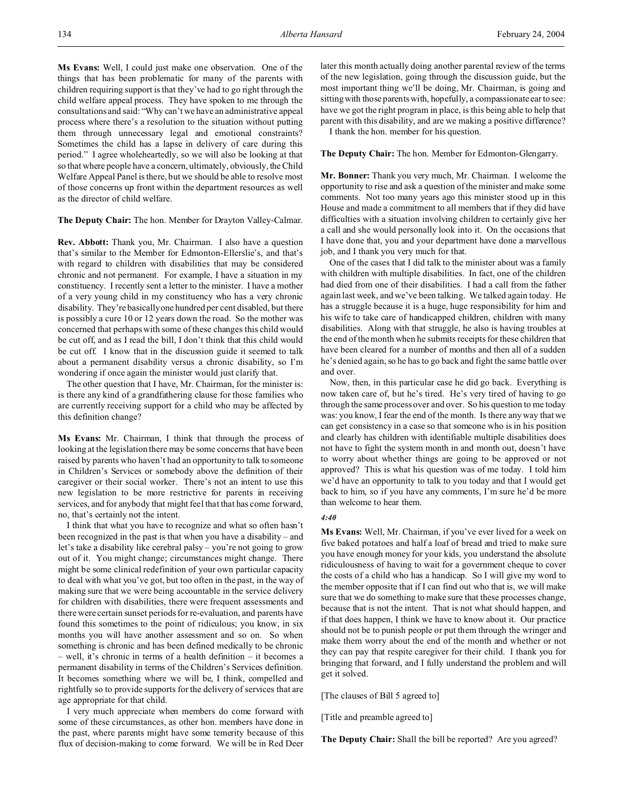**Ms Evans:** Well, I could just make one observation. One of the things that has been problematic for many of the parents with children requiring support is that they've had to go right through the child welfare appeal process. They have spoken to me through the consultations and said: "Why can't we have an administrative appeal process where there's a resolution to the situation without putting them through unnecessary legal and emotional constraints? Sometimes the child has a lapse in delivery of care during this period." I agree wholeheartedly, so we will also be looking at that so that where people have a concern, ultimately, obviously, the Child Welfare Appeal Panel is there, but we should be able to resolve most of those concerns up front within the department resources as well as the director of child welfare.

**The Deputy Chair:** The hon. Member for Drayton Valley-Calmar.

**Rev. Abbott:** Thank you, Mr. Chairman. I also have a question that's similar to the Member for Edmonton-Ellerslie's, and that's with regard to children with disabilities that may be considered chronic and not permanent. For example, I have a situation in my constituency. I recently sent a letter to the minister. I have a mother of a very young child in my constituency who has a very chronic disability. They're basically one hundred per cent disabled, but there is possibly a cure 10 or 12 years down the road. So the mother was concerned that perhaps with some of these changes this child would be cut off, and as I read the bill, I don't think that this child would be cut off. I know that in the discussion guide it seemed to talk about a permanent disability versus a chronic disability, so I'm wondering if once again the minister would just clarify that.

The other question that I have, Mr. Chairman, for the minister is: is there any kind of a grandfathering clause for those families who are currently receiving support for a child who may be affected by this definition change?

**Ms Evans:** Mr. Chairman, I think that through the process of looking at the legislation there may be some concerns that have been raised by parents who haven't had an opportunity to talk to someone in Children's Services or somebody above the definition of their caregiver or their social worker. There's not an intent to use this new legislation to be more restrictive for parents in receiving services, and for anybody that might feel that that has come forward, no, that's certainly not the intent.

I think that what you have to recognize and what so often hasn't been recognized in the past is that when you have a disability – and let's take a disability like cerebral palsy – you're not going to grow out of it. You might change; circumstances might change. There might be some clinical redefinition of your own particular capacity to deal with what you've got, but too often in the past, in the way of making sure that we were being accountable in the service delivery for children with disabilities, there were frequent assessments and there were certain sunset periods for re-evaluation, and parents have found this sometimes to the point of ridiculous; you know, in six months you will have another assessment and so on. So when something is chronic and has been defined medically to be chronic – well, it's chronic in terms of a health definition – it becomes a permanent disability in terms of the Children's Services definition. It becomes something where we will be, I think, compelled and rightfully so to provide supports for the delivery of services that are age appropriate for that child.

I very much appreciate when members do come forward with some of these circumstances, as other hon. members have done in the past, where parents might have some temerity because of this flux of decision-making to come forward. We will be in Red Deer

later this month actually doing another parental review of the terms of the new legislation, going through the discussion guide, but the most important thing we'll be doing, Mr. Chairman, is going and sitting with those parents with, hopefully, a compassionate ear to see: have we got the right program in place, is this being able to help that parent with this disability, and are we making a positive difference?

I thank the hon. member for his question.

# **The Deputy Chair:** The hon. Member for Edmonton-Glengarry.

**Mr. Bonner:** Thank you very much, Mr. Chairman. I welcome the opportunity to rise and ask a question of the minister and make some comments. Not too many years ago this minister stood up in this House and made a commitment to all members that if they did have difficulties with a situation involving children to certainly give her a call and she would personally look into it. On the occasions that I have done that, you and your department have done a marvellous job, and I thank you very much for that.

One of the cases that I did talk to the minister about was a family with children with multiple disabilities. In fact, one of the children had died from one of their disabilities. I had a call from the father again last week, and we've been talking. We talked again today. He has a struggle because it is a huge, huge responsibility for him and his wife to take care of handicapped children, children with many disabilities. Along with that struggle, he also is having troubles at the end of the month when he submits receipts for these children that have been cleared for a number of months and then all of a sudden he's denied again, so he has to go back and fight the same battle over and over.

Now, then, in this particular case he did go back. Everything is now taken care of, but he's tired. He's very tired of having to go through the same process over and over. So his question to me today was: you know, I fear the end of the month. Is there any way that we can get consistency in a case so that someone who is in his position and clearly has children with identifiable multiple disabilities does not have to fight the system month in and month out, doesn't have to worry about whether things are going to be approved or not approved? This is what his question was of me today. I told him we'd have an opportunity to talk to you today and that I would get back to him, so if you have any comments, I'm sure he'd be more than welcome to hear them.

## *4:40*

**Ms Evans:** Well, Mr. Chairman, if you've ever lived for a week on five baked potatoes and half a loaf of bread and tried to make sure you have enough money for your kids, you understand the absolute ridiculousness of having to wait for a government cheque to cover the costs of a child who has a handicap. So I will give my word to the member opposite that if I can find out who that is, we will make sure that we do something to make sure that these processes change, because that is not the intent. That is not what should happen, and if that does happen, I think we have to know about it. Our practice should not be to punish people or put them through the wringer and make them worry about the end of the month and whether or not they can pay that respite caregiver for their child. I thank you for bringing that forward, and I fully understand the problem and will get it solved.

[The clauses of Bill 5 agreed to]

[Title and preamble agreed to]

**The Deputy Chair:** Shall the bill be reported? Are you agreed?